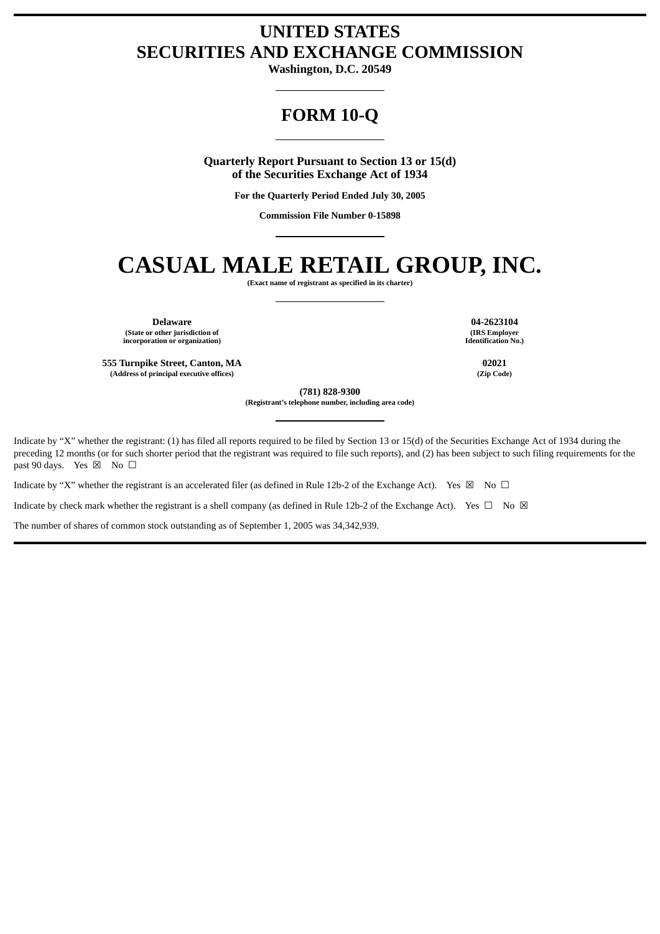# **UNITED STATES SECURITIES AND EXCHANGE COMMISSION**

**Washington, D.C. 20549**

# **FORM 10-Q**

**Quarterly Report Pursuant to Section 13 or 15(d) of the Securities Exchange Act of 1934**

**For the Quarterly Period Ended July 30, 2005**

**Commission File Number 0-15898**

# **CASUAL MALE RETAIL GROUP, INC.**

**(Exact name of registrant as specified in its charter)**

**Delaware 04-2623104 (State or other jurisdiction of incorporation or organization)**

**555 Turnpike Street, Canton, MA 02021 (Address of principal executive offices)** 

**(IRS Employer Identification No.)**

**(781) 828-9300**

**(Registrant's telephone number, including area code)**

Indicate by "X" whether the registrant: (1) has filed all reports required to be filed by Section 13 or 15(d) of the Securities Exchange Act of 1934 during the preceding 12 months (or for such shorter period that the registrant was required to file such reports), and (2) has been subject to such filing requirements for the past 90 days. Yes  $\boxtimes$  No  $\Box$ 

Indicate by "X" whether the registrant is an accelerated filer (as defined in Rule 12b-2 of the Exchange Act). Yes  $\boxtimes$  No  $\Box$ 

Indicate by check mark whether the registrant is a shell company (as defined in Rule 12b-2 of the Exchange Act). Yes  $\Box$  No  $\boxtimes$ 

The number of shares of common stock outstanding as of September 1, 2005 was 34,342,939.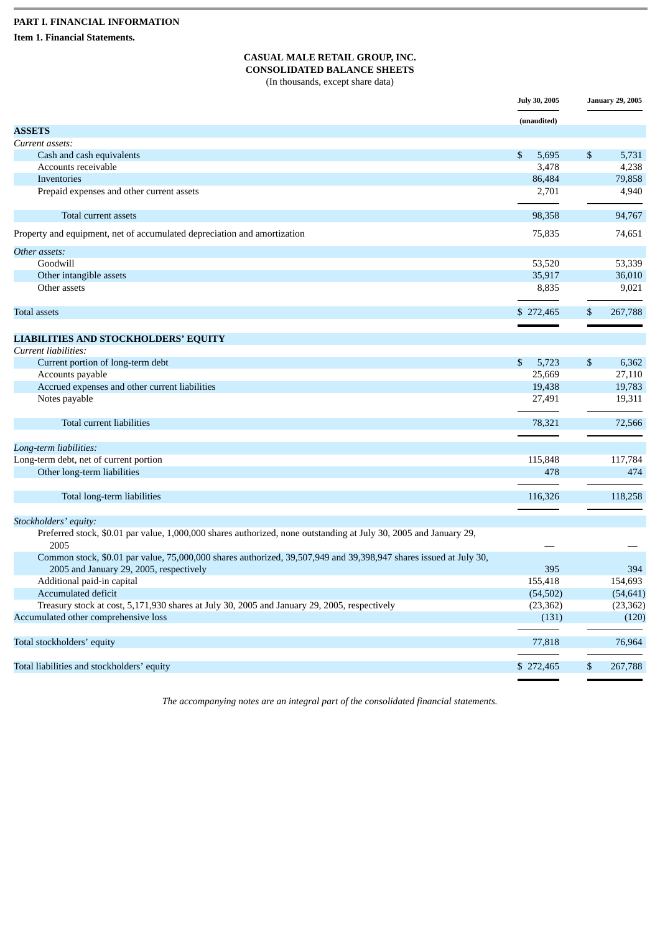# **PART I. FINANCIAL INFORMATION**

**Item 1. Financial Statements.**

# **CASUAL MALE RETAIL GROUP, INC. CONSOLIDATED BALANCE SHEETS**

(In thousands, except share data)

|                                                                                                                           | <b>July 30, 2005</b> | <b>January 29, 2005</b> |
|---------------------------------------------------------------------------------------------------------------------------|----------------------|-------------------------|
|                                                                                                                           | (unaudited)          |                         |
| <b>ASSETS</b>                                                                                                             |                      |                         |
| Current assets:                                                                                                           |                      |                         |
| Cash and cash equivalents                                                                                                 | \$<br>5,695          | \$<br>5,731             |
| Accounts receivable                                                                                                       | 3,478                | 4,238                   |
| Inventories                                                                                                               | 86,484               | 79,858                  |
| Prepaid expenses and other current assets                                                                                 | 2,701                | 4,940                   |
| Total current assets                                                                                                      | 98,358               | 94,767                  |
| Property and equipment, net of accumulated depreciation and amortization                                                  | 75,835               | 74,651                  |
| Other assets:                                                                                                             |                      |                         |
| Goodwill                                                                                                                  | 53,520               | 53,339                  |
| Other intangible assets                                                                                                   | 35,917               | 36,010                  |
| Other assets                                                                                                              | 8,835                | 9,021                   |
|                                                                                                                           |                      |                         |
| Total assets                                                                                                              | \$272,465            | \$<br>267,788           |
|                                                                                                                           |                      |                         |
| <b>LIABILITIES AND STOCKHOLDERS' EQUITY</b>                                                                               |                      |                         |
| Current liabilities:                                                                                                      |                      |                         |
| Current portion of long-term debt                                                                                         | \$<br>5,723          | \$<br>6,362             |
| Accounts payable                                                                                                          | 25,669               | 27,110                  |
| Accrued expenses and other current liabilities                                                                            | 19,438               | 19,783                  |
| Notes payable                                                                                                             | 27,491               | 19,311                  |
|                                                                                                                           |                      |                         |
| Total current liabilities                                                                                                 | 78,321               | 72,566                  |
| Long-term liabilities:                                                                                                    |                      |                         |
| Long-term debt, net of current portion                                                                                    | 115,848              | 117,784                 |
| Other long-term liabilities                                                                                               | 478                  | 474                     |
|                                                                                                                           |                      |                         |
| Total long-term liabilities                                                                                               | 116,326              | 118,258                 |
|                                                                                                                           |                      |                         |
| Stockholders' equity:                                                                                                     |                      |                         |
| Preferred stock, \$0.01 par value, 1,000,000 shares authorized, none outstanding at July 30, 2005 and January 29,<br>2005 |                      |                         |
| Common stock, \$0.01 par value, 75,000,000 shares authorized, 39,507,949 and 39,398,947 shares issued at July 30,         |                      |                         |
| 2005 and January 29, 2005, respectively                                                                                   | 395                  | 394                     |
| Additional paid-in capital                                                                                                | 155,418              | 154,693                 |
| Accumulated deficit                                                                                                       | (54, 502)            | (54, 641)               |
| Treasury stock at cost, 5,171,930 shares at July 30, 2005 and January 29, 2005, respectively                              | (23, 362)            | (23, 362)               |
| Accumulated other comprehensive loss                                                                                      | (131)                | (120)                   |
|                                                                                                                           |                      |                         |
| Total stockholders' equity                                                                                                | 77,818               | 76,964                  |
| Total liabilities and stockholders' equity                                                                                | \$ 272,465           | \$<br>267,788           |
|                                                                                                                           |                      |                         |

*The accompanying notes are an integral part of the consolidated financial statements.*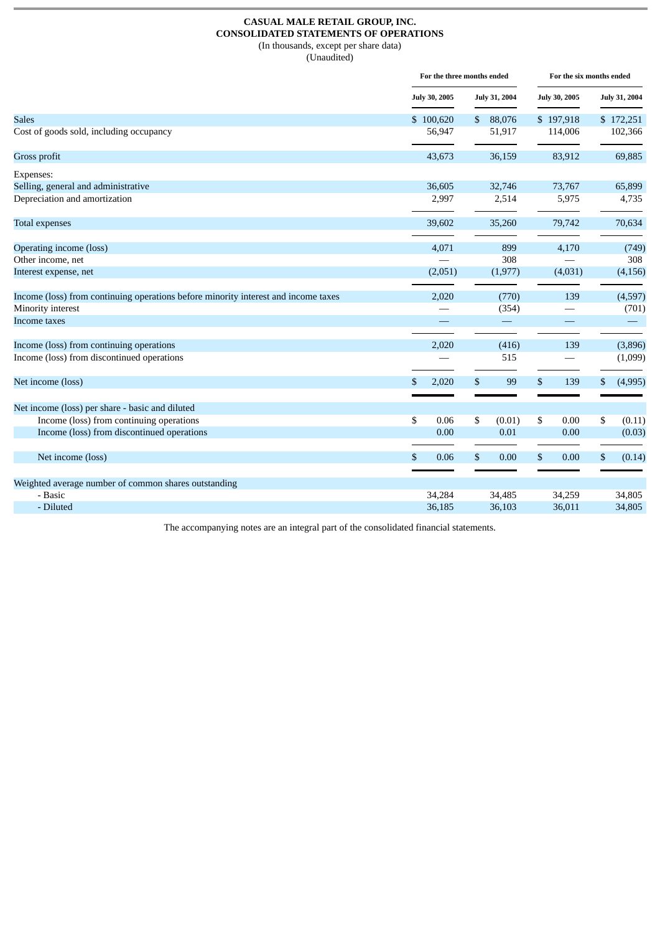# **CASUAL MALE RETAIL GROUP, INC. CONSOLIDATED STATEMENTS OF OPERATIONS** (In thousands, except per share data)

(Unaudited)

|                                                                                    | For the three months ended |              | For the six months ended |    |                          |    |                   |
|------------------------------------------------------------------------------------|----------------------------|--------------|--------------------------|----|--------------------------|----|-------------------|
|                                                                                    | July 30, 2005              |              | July 31, 2004            |    | July 30, 2005            |    | July 31, 2004     |
| <b>Sales</b>                                                                       | \$100,620                  | $\mathbb{S}$ | 88,076                   |    | \$197,918                |    | \$172,251         |
| Cost of goods sold, including occupancy                                            | 56,947                     |              | 51,917                   |    | 114,006                  |    | 102,366           |
| Gross profit                                                                       | 43.673                     |              | 36,159                   |    | 83,912                   |    | 69,885            |
| Expenses:                                                                          |                            |              |                          |    |                          |    |                   |
| Selling, general and administrative                                                | 36,605                     |              | 32,746                   |    | 73,767                   |    | 65,899            |
| Depreciation and amortization                                                      | 2,997                      |              | 2,514                    |    | 5,975                    |    | 4,735             |
| <b>Total expenses</b>                                                              | 39,602                     |              | 35,260                   |    | 79,742                   |    | 70,634            |
| Operating income (loss)                                                            | 4,071                      |              | 899                      |    | 4,170                    |    | (749)             |
| Other income, net                                                                  |                            |              | 308                      |    |                          |    | 308               |
| Interest expense, net                                                              | (2,051)                    |              | (1,977)                  |    | (4,031)                  |    | (4, 156)          |
|                                                                                    |                            |              |                          |    |                          |    |                   |
| Income (loss) from continuing operations before minority interest and income taxes | 2,020                      |              | (770)                    |    | 139                      |    | (4,597)           |
| Minority interest                                                                  |                            |              | (354)                    |    |                          |    | (701)             |
| Income taxes                                                                       |                            |              |                          |    | $\overline{\phantom{0}}$ |    | $\qquad \qquad -$ |
| Income (loss) from continuing operations                                           | 2,020                      |              | (416)                    |    | 139                      |    | (3,896)           |
| Income (loss) from discontinued operations                                         |                            |              | 515                      |    |                          |    | (1,099)           |
| Net income (loss)                                                                  | 2,020                      | \$           | 99                       | \$ | 139                      | S  | (4,995)           |
|                                                                                    |                            |              |                          |    |                          |    |                   |
| Net income (loss) per share - basic and diluted                                    |                            |              |                          |    |                          |    |                   |
| Income (loss) from continuing operations                                           | \$<br>0.06                 | \$           | (0.01)                   | \$ | 0.00                     | \$ | (0.11)            |
| Income (loss) from discontinued operations                                         | 0.00                       |              | 0.01                     |    | 0.00                     |    | (0.03)            |
| Net income (loss)                                                                  | 0.06                       | \$           | 0.00                     | \$ | 0.00                     | \$ | (0.14)            |
|                                                                                    |                            |              |                          |    |                          |    |                   |
| Weighted average number of common shares outstanding                               |                            |              |                          |    |                          |    |                   |
| - Basic                                                                            | 34,284                     |              | 34,485                   |    | 34,259                   |    | 34,805            |
| - Diluted                                                                          | 36,185                     |              | 36,103                   |    | 36,011                   |    | 34,805            |

The accompanying notes are an integral part of the consolidated financial statements.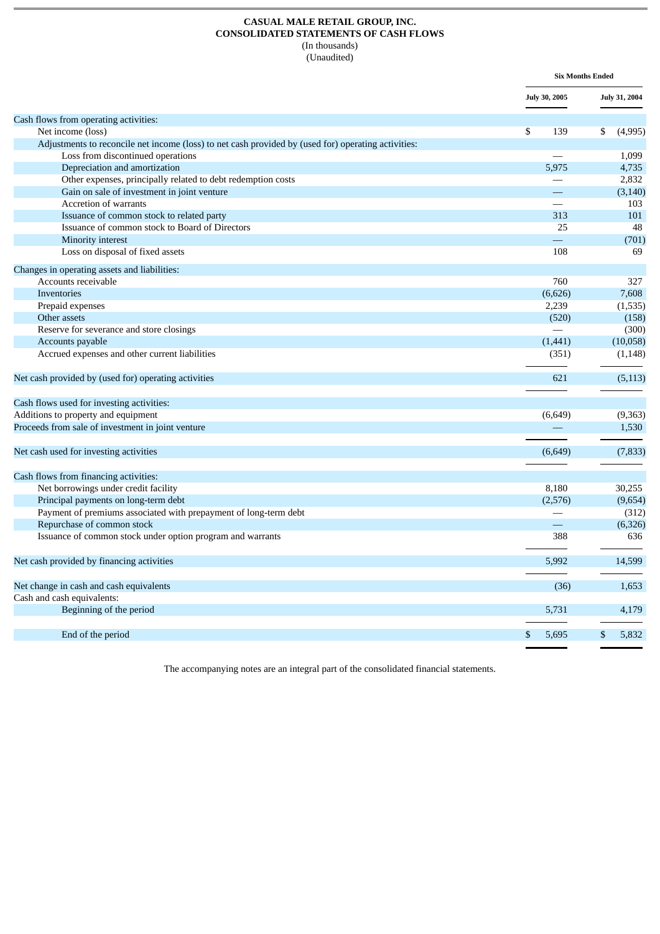#### **CASUAL MALE RETAIL GROUP, INC. CONSOLIDATED STATEMENTS OF CASH FLOWS** (In thousands)

(Unaudited)

|                                                                                                     | <b>Six Months Ended</b> |                      |
|-----------------------------------------------------------------------------------------------------|-------------------------|----------------------|
|                                                                                                     | <b>July 30, 2005</b>    | <b>July 31, 2004</b> |
| Cash flows from operating activities:                                                               |                         |                      |
| Net income (loss)                                                                                   | \$<br>139               | \$<br>(4,995)        |
| Adjustments to reconcile net income (loss) to net cash provided by (used for) operating activities: |                         |                      |
| Loss from discontinued operations                                                                   |                         | 1,099                |
| Depreciation and amortization                                                                       | 5,975                   | 4,735                |
| Other expenses, principally related to debt redemption costs                                        |                         | 2,832                |
| Gain on sale of investment in joint venture                                                         |                         | (3, 140)             |
| Accretion of warrants                                                                               |                         | 103                  |
| Issuance of common stock to related party                                                           | 313                     | 101                  |
| Issuance of common stock to Board of Directors                                                      | 25                      | 48                   |
| Minority interest                                                                                   |                         | (701)                |
| Loss on disposal of fixed assets                                                                    | 108                     | 69                   |
| Changes in operating assets and liabilities:                                                        |                         |                      |
| Accounts receivable                                                                                 | 760                     | 327                  |
| <b>Inventories</b>                                                                                  | (6,626)                 | 7,608                |
| Prepaid expenses                                                                                    | 2,239                   | (1,535)              |
| Other assets                                                                                        | (520)                   | (158)                |
| Reserve for severance and store closings                                                            |                         | (300)                |
| Accounts payable                                                                                    | (1,441)                 | (10,058)             |
| Accrued expenses and other current liabilities                                                      | (351)                   | (1, 148)             |
| Net cash provided by (used for) operating activities                                                | 621                     | (5, 113)             |
| Cash flows used for investing activities:                                                           |                         |                      |
| Additions to property and equipment                                                                 | (6, 649)                | (9, 363)             |
| Proceeds from sale of investment in joint venture                                                   |                         | 1,530                |
|                                                                                                     |                         |                      |
| Net cash used for investing activities                                                              | (6, 649)                | (7, 833)             |
| Cash flows from financing activities:                                                               |                         |                      |
| Net borrowings under credit facility                                                                | 8,180                   | 30,255               |
| Principal payments on long-term debt                                                                | (2,576)                 | (9,654)              |
| Payment of premiums associated with prepayment of long-term debt                                    |                         | (312)                |
| Repurchase of common stock                                                                          |                         | (6,326)              |
| Issuance of common stock under option program and warrants                                          | 388                     | 636                  |
|                                                                                                     |                         |                      |
| Net cash provided by financing activities                                                           | 5,992                   | 14,599               |
| Net change in cash and cash equivalents                                                             | (36)                    | 1,653                |
| Cash and cash equivalents:                                                                          |                         |                      |
| Beginning of the period                                                                             | 5,731                   | 4,179                |
| End of the period                                                                                   | 5,695<br>\$             | \$<br>5,832          |
|                                                                                                     |                         |                      |

The accompanying notes are an integral part of the consolidated financial statements.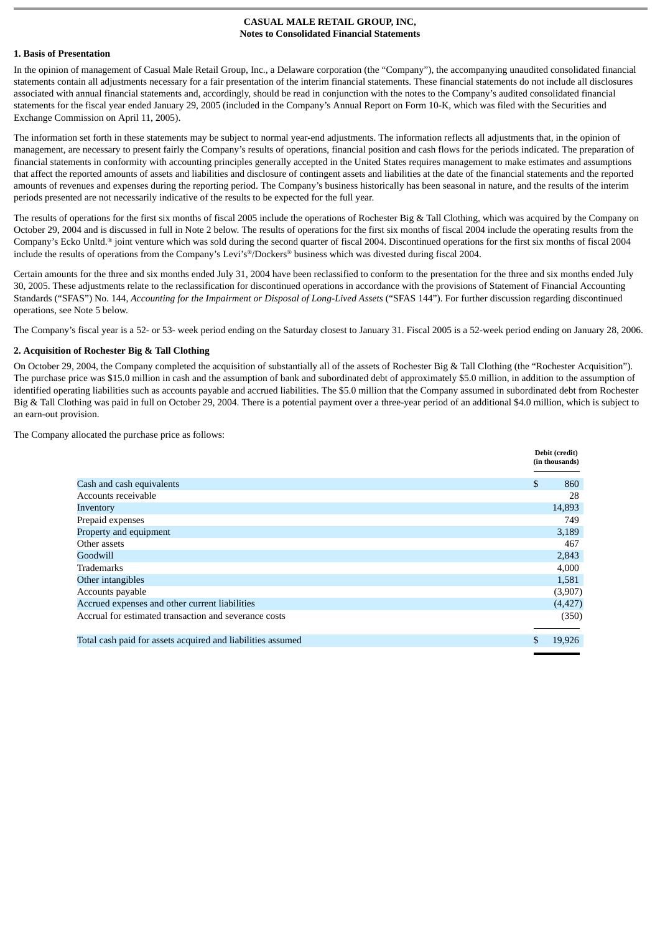#### **CASUAL MALE RETAIL GROUP, INC, Notes to Consolidated Financial Statements**

#### **1. Basis of Presentation**

In the opinion of management of Casual Male Retail Group, Inc., a Delaware corporation (the "Company"), the accompanying unaudited consolidated financial statements contain all adjustments necessary for a fair presentation of the interim financial statements. These financial statements do not include all disclosures associated with annual financial statements and, accordingly, should be read in conjunction with the notes to the Company's audited consolidated financial statements for the fiscal year ended January 29, 2005 (included in the Company's Annual Report on Form 10-K, which was filed with the Securities and Exchange Commission on April 11, 2005).

The information set forth in these statements may be subject to normal year-end adjustments. The information reflects all adjustments that, in the opinion of management, are necessary to present fairly the Company's results of operations, financial position and cash flows for the periods indicated. The preparation of financial statements in conformity with accounting principles generally accepted in the United States requires management to make estimates and assumptions that affect the reported amounts of assets and liabilities and disclosure of contingent assets and liabilities at the date of the financial statements and the reported amounts of revenues and expenses during the reporting period. The Company's business historically has been seasonal in nature, and the results of the interim periods presented are not necessarily indicative of the results to be expected for the full year.

The results of operations for the first six months of fiscal 2005 include the operations of Rochester Big & Tall Clothing, which was acquired by the Company on October 29, 2004 and is discussed in full in Note 2 below. The results of operations for the first six months of fiscal 2004 include the operating results from the Company's Ecko Unltd.® joint venture which was sold during the second quarter of fiscal 2004. Discontinued operations for the first six months of fiscal 2004 include the results of operations from the Company's Levi's®/Dockers® business which was divested during fiscal 2004.

Certain amounts for the three and six months ended July 31, 2004 have been reclassified to conform to the presentation for the three and six months ended July 30, 2005. These adjustments relate to the reclassification for discontinued operations in accordance with the provisions of Statement of Financial Accounting Standards ("SFAS") No. 144, *Accounting for the Impairment or Disposal of Long-Lived Assets* ("SFAS 144"). For further discussion regarding discontinued operations, see Note 5 below.

The Company's fiscal year is a 52- or 53- week period ending on the Saturday closest to January 31. Fiscal 2005 is a 52-week period ending on January 28, 2006.

#### **2. Acquisition of Rochester Big & Tall Clothing**

On October 29, 2004, the Company completed the acquisition of substantially all of the assets of Rochester Big & Tall Clothing (the "Rochester Acquisition"). The purchase price was \$15.0 million in cash and the assumption of bank and subordinated debt of approximately \$5.0 million, in addition to the assumption of identified operating liabilities such as accounts payable and accrued liabilities. The \$5.0 million that the Company assumed in subordinated debt from Rochester Big & Tall Clothing was paid in full on October 29, 2004. There is a potential payment over a three-year period of an additional \$4.0 million, which is subject to an earn-out provision.

The Company allocated the purchase price as follows:

|                                                             |                | Debit (credit)<br>(in thousands) |
|-------------------------------------------------------------|----------------|----------------------------------|
| Cash and cash equivalents                                   | $\mathfrak{S}$ | 860                              |
| Accounts receivable                                         |                | 28                               |
| Inventory                                                   |                | 14,893                           |
| Prepaid expenses                                            |                | 749                              |
| Property and equipment                                      |                | 3,189                            |
| Other assets                                                |                | 467                              |
| Goodwill                                                    |                | 2,843                            |
| <b>Trademarks</b>                                           |                | 4,000                            |
| Other intangibles                                           |                | 1,581                            |
| Accounts payable                                            |                | (3,907)                          |
| Accrued expenses and other current liabilities              |                | (4, 427)                         |
| Accrual for estimated transaction and severance costs       |                | (350)                            |
| Total cash paid for assets acquired and liabilities assumed | \$             | 19,926                           |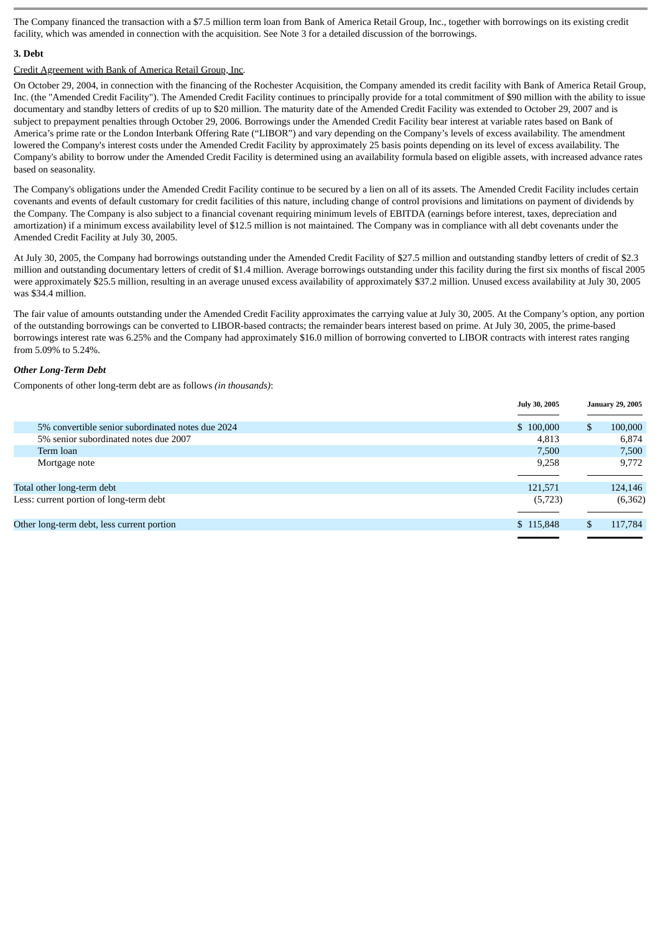The Company financed the transaction with a \$7.5 million term loan from Bank of America Retail Group, Inc., together with borrowings on its existing credit facility, which was amended in connection with the acquisition. See Note 3 for a detailed discussion of the borrowings.

# **3. Debt**

Credit Agreement with Bank of America Retail Group, Inc*.*

On October 29, 2004, in connection with the financing of the Rochester Acquisition, the Company amended its credit facility with Bank of America Retail Group, Inc. (the "Amended Credit Facility"). The Amended Credit Facility continues to principally provide for a total commitment of \$90 million with the ability to issue documentary and standby letters of credits of up to \$20 million. The maturity date of the Amended Credit Facility was extended to October 29, 2007 and is subject to prepayment penalties through October 29, 2006. Borrowings under the Amended Credit Facility bear interest at variable rates based on Bank of America's prime rate or the London Interbank Offering Rate ("LIBOR") and vary depending on the Company's levels of excess availability. The amendment lowered the Company's interest costs under the Amended Credit Facility by approximately 25 basis points depending on its level of excess availability. The Company's ability to borrow under the Amended Credit Facility is determined using an availability formula based on eligible assets, with increased advance rates based on seasonality.

The Company's obligations under the Amended Credit Facility continue to be secured by a lien on all of its assets. The Amended Credit Facility includes certain covenants and events of default customary for credit facilities of this nature, including change of control provisions and limitations on payment of dividends by the Company. The Company is also subject to a financial covenant requiring minimum levels of EBITDA (earnings before interest, taxes, depreciation and amortization) if a minimum excess availability level of \$12.5 million is not maintained. The Company was in compliance with all debt covenants under the Amended Credit Facility at July 30, 2005.

At July 30, 2005, the Company had borrowings outstanding under the Amended Credit Facility of \$27.5 million and outstanding standby letters of credit of \$2.3 million and outstanding documentary letters of credit of \$1.4 million. Average borrowings outstanding under this facility during the first six months of fiscal 2005 were approximately \$25.5 million, resulting in an average unused excess availability of approximately \$37.2 million. Unused excess availability at July 30, 2005 was \$34.4 million.

The fair value of amounts outstanding under the Amended Credit Facility approximates the carrying value at July 30, 2005. At the Company's option, any portion of the outstanding borrowings can be converted to LIBOR-based contracts; the remainder bears interest based on prime. At July 30, 2005, the prime-based borrowings interest rate was 6.25% and the Company had approximately \$16.0 million of borrowing converted to LIBOR contracts with interest rates ranging from 5.09% to 5.24%.

#### *Other Long-Term Debt*

Components of other long-term debt are as follows *(in thousands)*:

|                                                   | <b>July 30, 2005</b> |    | <b>January 29, 2005</b> |
|---------------------------------------------------|----------------------|----|-------------------------|
|                                                   |                      |    |                         |
| 5% convertible senior subordinated notes due 2024 | \$100,000            | \$ | 100,000                 |
| 5% senior subordinated notes due 2007             | 4,813                |    | 6,874                   |
| Term loan                                         | 7,500                |    | 7,500                   |
| Mortgage note                                     | 9,258                |    | 9.772                   |
|                                                   |                      |    |                         |
| Total other long-term debt                        | 121,571              |    | 124,146                 |
| Less: current portion of long-term debt           | (5, 723)             |    | (6, 362)                |
|                                                   |                      |    |                         |
| Other long-term debt, less current portion        | \$115,848            | S. | 117,784                 |
|                                                   |                      |    |                         |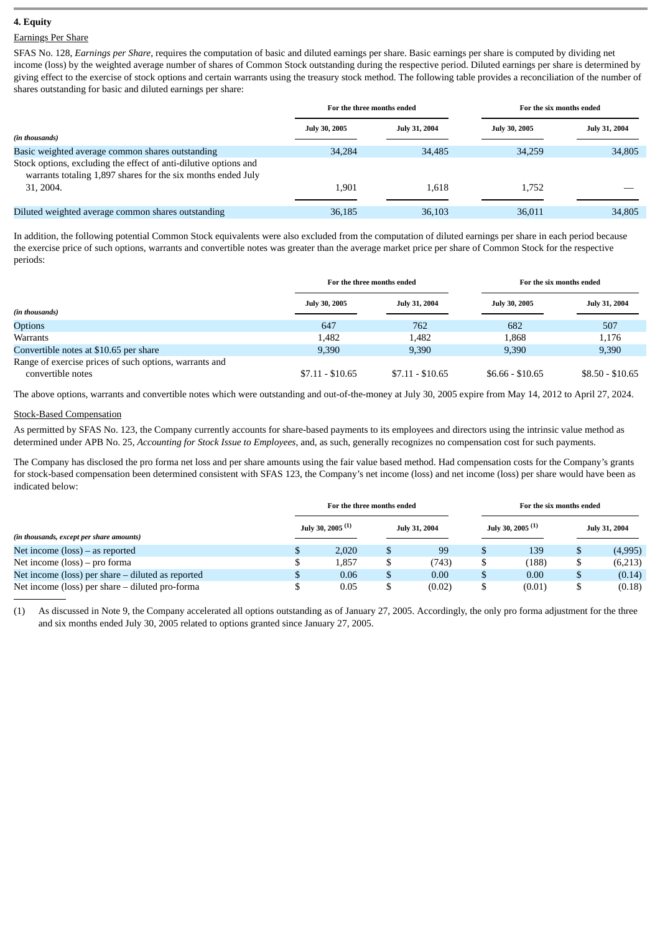# **4. Equity**

# Earnings Per Share

SFAS No. 128, *Earnings per Share,* requires the computation of basic and diluted earnings per share. Basic earnings per share is computed by dividing net income (loss) by the weighted average number of shares of Common Stock outstanding during the respective period. Diluted earnings per share is determined by giving effect to the exercise of stock options and certain warrants using the treasury stock method. The following table provides a reconciliation of the number of shares outstanding for basic and diluted earnings per share:

|                                                                                                                                  | For the three months ended |                      | For the six months ended |                      |  |  |  |
|----------------------------------------------------------------------------------------------------------------------------------|----------------------------|----------------------|--------------------------|----------------------|--|--|--|
|                                                                                                                                  | <b>July 30, 2005</b>       | <b>July 31, 2004</b> | <b>July 30, 2005</b>     | <b>July 31, 2004</b> |  |  |  |
| (in thousands)                                                                                                                   |                            |                      |                          |                      |  |  |  |
| Basic weighted average common shares outstanding                                                                                 | 34.284                     | 34,485               | 34,259                   | 34,805               |  |  |  |
| Stock options, excluding the effect of anti-dilutive options and<br>warrants totaling 1,897 shares for the six months ended July |                            |                      |                          |                      |  |  |  |
| 31, 2004.                                                                                                                        | 1.901                      | 1.618                | 1.752                    |                      |  |  |  |
|                                                                                                                                  |                            |                      |                          |                      |  |  |  |
| Diluted weighted average common shares outstanding                                                                               | 36,185                     | 36,103               | 36,011                   | 34,805               |  |  |  |

In addition, the following potential Common Stock equivalents were also excluded from the computation of diluted earnings per share in each period because the exercise price of such options, warrants and convertible notes was greater than the average market price per share of Common Stock for the respective periods:

|                                                        | For the three months ended |                      | For the six months ended |                      |
|--------------------------------------------------------|----------------------------|----------------------|--------------------------|----------------------|
| (in thousands)                                         | <b>July 30, 2005</b>       | <b>July 31, 2004</b> | <b>July 30, 2005</b>     | <b>July 31, 2004</b> |
|                                                        |                            |                      |                          |                      |
| <b>Options</b>                                         | 647                        | 762                  | 682                      | 507                  |
| Warrants                                               | 1,482                      | 1,482                | 1,868                    | 1,176                |
| Convertible notes at \$10.65 per share                 | 9.390                      | 9.390                | 9,390                    | 9,390                |
| Range of exercise prices of such options, warrants and |                            |                      |                          |                      |
| convertible notes                                      | $$7.11 - $10.65$           | $$7.11 - $10.65$     | $$6.66 - $10.65$         | $$8.50 - $10.65$     |

The above options, warrants and convertible notes which were outstanding and out-of-the-money at July 30, 2005 expire from May 14, 2012 to April 27, 2024.

#### Stock-Based Compensation

As permitted by SFAS No. 123, the Company currently accounts for share-based payments to its employees and directors using the intrinsic value method as determined under APB No. 25, *Accounting for Stock Issue to Employees*, and, as such, generally recognizes no compensation cost for such payments.

The Company has disclosed the pro forma net loss and per share amounts using the fair value based method. Had compensation costs for the Company's grants for stock-based compensation been determined consistent with SFAS 123, the Company's net income (loss) and net income (loss) per share would have been as indicated below:

|                                                   | For the three months ended                           |       |                              |        | For the six months ended |  |         |  |  |
|---------------------------------------------------|------------------------------------------------------|-------|------------------------------|--------|--------------------------|--|---------|--|--|
|                                                   | July 30, 2005 <sup>(1)</sup><br><b>July 31, 2004</b> |       | July 30, 2005 <sup>(1)</sup> |        | <b>July 31, 2004</b>     |  |         |  |  |
| (in thousands, except per share amounts)          |                                                      |       |                              |        |                          |  |         |  |  |
| Net income $(\text{loss})$ – as reported          |                                                      | 2.020 | ٦D                           | 99     | 139                      |  | (4,995) |  |  |
| Net income $(\text{loss})$ – pro forma            | D                                                    | 1,857 | Œ                            | (743)  | (188)                    |  | (6,213) |  |  |
| Net income (loss) per share – diluted as reported | D                                                    | 0.06  | S                            | 0.00   | 0.00                     |  | (0.14)  |  |  |
| Net income (loss) per share - diluted pro-forma   |                                                      | 0.05  |                              | (0.02) | (0.01)                   |  | (0.18)  |  |  |

(1) As discussed in Note 9, the Company accelerated all options outstanding as of January 27, 2005. Accordingly, the only pro forma adjustment for the three and six months ended July 30, 2005 related to options granted since January 27, 2005.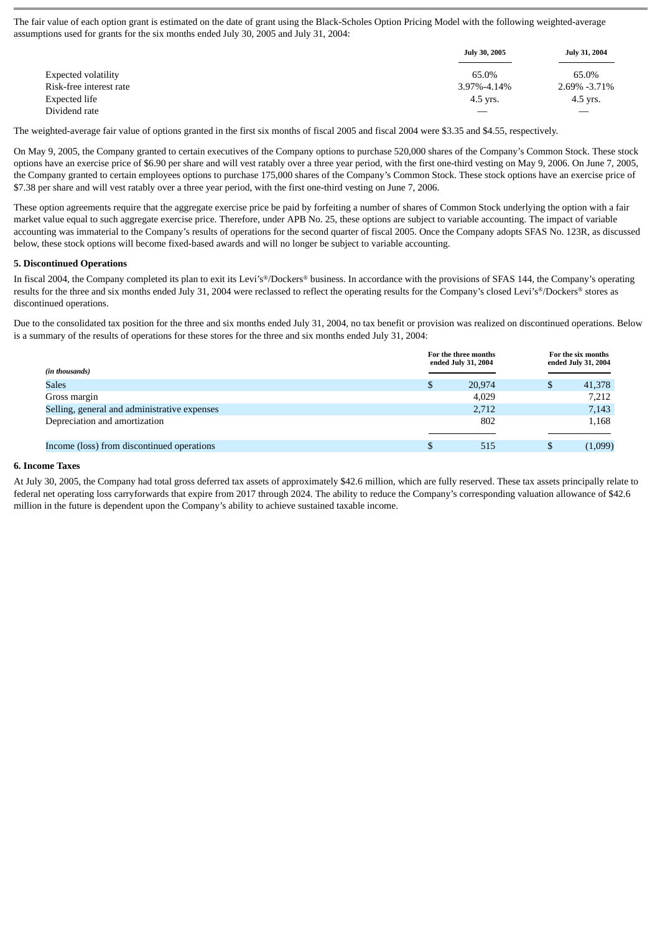The fair value of each option grant is estimated on the date of grant using the Black-Scholes Option Pricing Model with the following weighted-average assumptions used for grants for the six months ended July 30, 2005 and July 31, 2004:

|                            | July 30, 2005 | <b>July 31, 2004</b> |  |  |
|----------------------------|---------------|----------------------|--|--|
| <b>Expected volatility</b> | 65.0%         | 65.0%                |  |  |
| Risk-free interest rate    | 3.97%-4.14%   | 2.69% -3.71%         |  |  |
| Expected life              | $4.5$ yrs.    | $4.5$ vrs.           |  |  |
| Dividend rate              |               |                      |  |  |

The weighted-average fair value of options granted in the first six months of fiscal 2005 and fiscal 2004 were \$3.35 and \$4.55, respectively.

On May 9, 2005, the Company granted to certain executives of the Company options to purchase 520,000 shares of the Company's Common Stock. These stock options have an exercise price of \$6.90 per share and will vest ratably over a three year period, with the first one-third vesting on May 9, 2006. On June 7, 2005, the Company granted to certain employees options to purchase 175,000 shares of the Company's Common Stock. These stock options have an exercise price of \$7.38 per share and will vest ratably over a three year period, with the first one-third vesting on June 7, 2006.

These option agreements require that the aggregate exercise price be paid by forfeiting a number of shares of Common Stock underlying the option with a fair market value equal to such aggregate exercise price. Therefore, under APB No. 25, these options are subject to variable accounting. The impact of variable accounting was immaterial to the Company's results of operations for the second quarter of fiscal 2005. Once the Company adopts SFAS No. 123R, as discussed below, these stock options will become fixed-based awards and will no longer be subject to variable accounting.

#### **5. Discontinued Operations**

In fiscal 2004, the Company completed its plan to exit its Levi's®/Dockers® business. In accordance with the provisions of SFAS 144, the Company's operating results for the three and six months ended July 31, 2004 were reclassed to reflect the operating results for the Company's closed Levi's®/Dockers® stores as discontinued operations.

Due to the consolidated tax position for the three and six months ended July 31, 2004, no tax benefit or provision was realized on discontinued operations. Below is a summary of the results of operations for these stores for the three and six months ended July 31, 2004:

|                                              |   | For the three months<br>ended July 31, 2004 |   | For the six months<br>ended July 31, 2004 |  |  |
|----------------------------------------------|---|---------------------------------------------|---|-------------------------------------------|--|--|
| (in thousands)                               |   |                                             |   |                                           |  |  |
| <b>Sales</b>                                 | S | 20,974                                      | S | 41,378                                    |  |  |
| Gross margin                                 |   | 4,029                                       |   | 7,212                                     |  |  |
| Selling, general and administrative expenses |   | 2,712                                       |   | 7,143                                     |  |  |
| Depreciation and amortization                |   | 802                                         |   | 1,168                                     |  |  |
|                                              |   |                                             |   |                                           |  |  |
| Income (loss) from discontinued operations   |   | 515                                         | S | (1,099)                                   |  |  |

#### **6. Income Taxes**

At July 30, 2005, the Company had total gross deferred tax assets of approximately \$42.6 million, which are fully reserved. These tax assets principally relate to federal net operating loss carryforwards that expire from 2017 through 2024. The ability to reduce the Company's corresponding valuation allowance of \$42.6 million in the future is dependent upon the Company's ability to achieve sustained taxable income.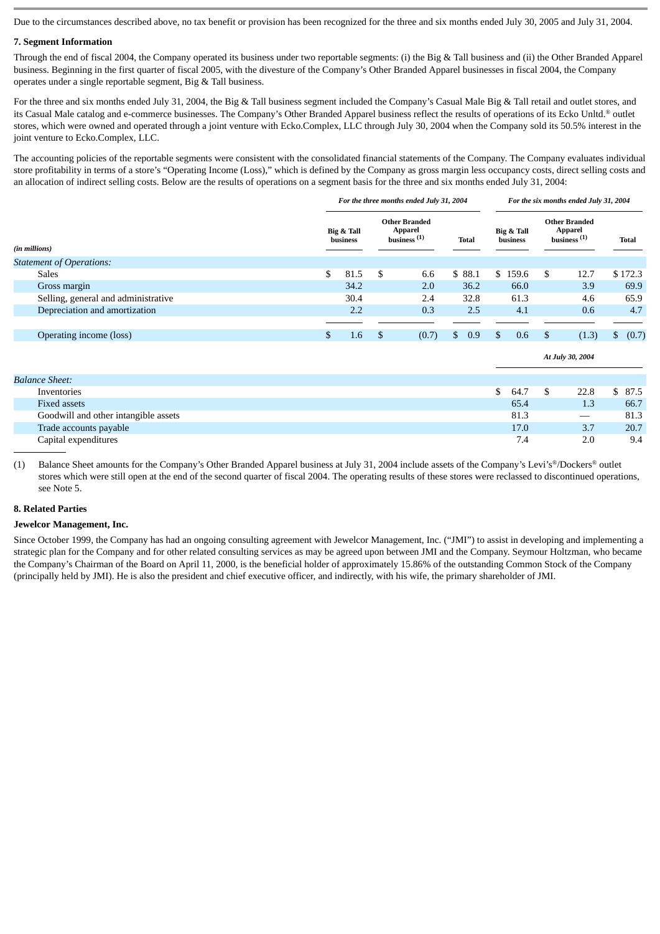Due to the circumstances described above, no tax benefit or provision has been recognized for the three and six months ended July 30, 2005 and July 31, 2004.

#### **7. Segment Information**

Through the end of fiscal 2004, the Company operated its business under two reportable segments: (i) the Big & Tall business and (ii) the Other Branded Apparel business. Beginning in the first quarter of fiscal 2005, with the divesture of the Company's Other Branded Apparel businesses in fiscal 2004, the Company operates under a single reportable segment, Big & Tall business.

For the three and six months ended July 31, 2004, the Big & Tall business segment included the Company's Casual Male Big & Tall retail and outlet stores, and its Casual Male catalog and e-commerce businesses. The Company's Other Branded Apparel business reflect the results of operations of its Ecko Unltd.® outlet stores, which were owned and operated through a joint venture with Ecko.Complex, LLC through July 30, 2004 when the Company sold its 50.5% interest in the joint venture to Ecko.Complex, LLC.

The accounting policies of the reportable segments were consistent with the consolidated financial statements of the Company. The Company evaluates individual store profitability in terms of a store's "Operating Income (Loss)," which is defined by the Company as gross margin less occupancy costs, direct selling costs and an allocation of indirect selling costs. Below are the results of operations on a segment basis for the three and six months ended July 31, 2004:

|                                     | For the three months ended July 31, 2004 |                        |    |                                                          | For the six months ended July 31, 2004 |                        |      |     |                                                          |             |
|-------------------------------------|------------------------------------------|------------------------|----|----------------------------------------------------------|----------------------------------------|------------------------|------|-----|----------------------------------------------------------|-------------|
| (in millions)                       |                                          | Big & Tall<br>business |    | <b>Other Branded</b><br><b>Apparel</b><br>business $(1)$ | <b>Total</b>                           | Big & Tall<br>business |      |     | <b>Other Branded</b><br><b>Apparel</b><br>business $(1)$ | Total       |
| <b>Statement of Operations:</b>     |                                          |                        |    |                                                          |                                        |                        |      |     |                                                          |             |
| <b>Sales</b>                        | \$                                       | 81.5                   | \$ | 6.6                                                      | \$88.1                                 | \$159.6                |      | \$  | 12.7                                                     | \$172.3     |
| Gross margin                        |                                          | 34.2                   |    | 2.0                                                      | 36.2                                   |                        | 66.0 |     | 3.9                                                      | 69.9        |
| Selling, general and administrative |                                          | 30.4                   |    | 2.4                                                      | 32.8                                   |                        | 61.3 |     | 4.6                                                      | 65.9        |
| Depreciation and amortization       |                                          | 2.2                    |    | 0.3                                                      | 2.5                                    |                        | 4.1  |     | 0.6                                                      | 4.7         |
|                                     |                                          |                        |    |                                                          |                                        |                        |      |     |                                                          |             |
| Operating income (loss)             | \$                                       | 1.6                    | \$ | (0.7)                                                    | $\mathbb{S}$<br>0.9                    | \$                     | 0.6  | \$. | (1.3)                                                    | \$<br>(0.7) |
|                                     |                                          |                        |    |                                                          |                                        | At July 30, 2004       |      |     |                                                          |             |

| <b>Balance Sheet:</b>                |      |      |                          |        |
|--------------------------------------|------|------|--------------------------|--------|
| Inventories                          | 64.7 |      | 22.8                     | \$87.5 |
| Fixed assets                         | 65.4 |      | 1.3                      | 66.7   |
| Goodwill and other intangible assets | 81.3 |      | $\overline{\phantom{m}}$ | 81.3   |
| Trade accounts payable               |      | 17.0 | 3.7                      | 20.7   |
| Capital expenditures                 |      | 7.4  | 2.0                      | 9.4    |

(1) Balance Sheet amounts for the Company's Other Branded Apparel business at July 31, 2004 include assets of the Company's Levi's®/Dockers® outlet stores which were still open at the end of the second quarter of fiscal 2004. The operating results of these stores were reclassed to discontinued operations, see Note 5.

## **8. Related Parties**

#### **Jewelcor Management, Inc.**

Since October 1999, the Company has had an ongoing consulting agreement with Jewelcor Management, Inc. ("JMI") to assist in developing and implementing a strategic plan for the Company and for other related consulting services as may be agreed upon between JMI and the Company. Seymour Holtzman, who became the Company's Chairman of the Board on April 11, 2000, is the beneficial holder of approximately 15.86% of the outstanding Common Stock of the Company (principally held by JMI). He is also the president and chief executive officer, and indirectly, with his wife, the primary shareholder of JMI.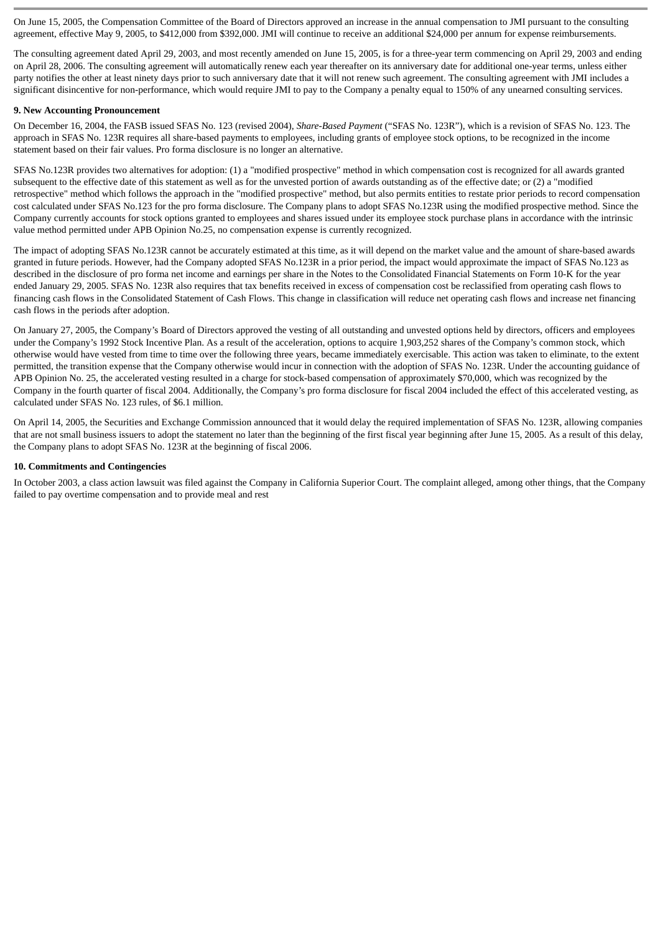On June 15, 2005, the Compensation Committee of the Board of Directors approved an increase in the annual compensation to JMI pursuant to the consulting agreement, effective May 9, 2005, to \$412,000 from \$392,000. JMI will continue to receive an additional \$24,000 per annum for expense reimbursements.

The consulting agreement dated April 29, 2003, and most recently amended on June 15, 2005, is for a three-year term commencing on April 29, 2003 and ending on April 28, 2006. The consulting agreement will automatically renew each year thereafter on its anniversary date for additional one-year terms, unless either party notifies the other at least ninety days prior to such anniversary date that it will not renew such agreement. The consulting agreement with JMI includes a significant disincentive for non-performance, which would require JMI to pay to the Company a penalty equal to 150% of any unearned consulting services.

#### **9. New Accounting Pronouncement**

On December 16, 2004, the FASB issued SFAS No. 123 (revised 2004), *Share-Based Payment* ("SFAS No. 123R"), which is a revision of SFAS No. 123. The approach in SFAS No. 123R requires all share-based payments to employees, including grants of employee stock options, to be recognized in the income statement based on their fair values. Pro forma disclosure is no longer an alternative.

SFAS No.123R provides two alternatives for adoption: (1) a "modified prospective" method in which compensation cost is recognized for all awards granted subsequent to the effective date of this statement as well as for the unvested portion of awards outstanding as of the effective date; or (2) a "modified retrospective" method which follows the approach in the "modified prospective" method, but also permits entities to restate prior periods to record compensation cost calculated under SFAS No.123 for the pro forma disclosure. The Company plans to adopt SFAS No.123R using the modified prospective method. Since the Company currently accounts for stock options granted to employees and shares issued under its employee stock purchase plans in accordance with the intrinsic value method permitted under APB Opinion No.25, no compensation expense is currently recognized.

The impact of adopting SFAS No.123R cannot be accurately estimated at this time, as it will depend on the market value and the amount of share-based awards granted in future periods. However, had the Company adopted SFAS No.123R in a prior period, the impact would approximate the impact of SFAS No.123 as described in the disclosure of pro forma net income and earnings per share in the Notes to the Consolidated Financial Statements on Form 10-K for the year ended January 29, 2005. SFAS No. 123R also requires that tax benefits received in excess of compensation cost be reclassified from operating cash flows to financing cash flows in the Consolidated Statement of Cash Flows. This change in classification will reduce net operating cash flows and increase net financing cash flows in the periods after adoption.

On January 27, 2005, the Company's Board of Directors approved the vesting of all outstanding and unvested options held by directors, officers and employees under the Company's 1992 Stock Incentive Plan. As a result of the acceleration, options to acquire 1,903,252 shares of the Company's common stock, which otherwise would have vested from time to time over the following three years, became immediately exercisable. This action was taken to eliminate, to the extent permitted, the transition expense that the Company otherwise would incur in connection with the adoption of SFAS No. 123R. Under the accounting guidance of APB Opinion No. 25, the accelerated vesting resulted in a charge for stock-based compensation of approximately \$70,000, which was recognized by the Company in the fourth quarter of fiscal 2004. Additionally, the Company's pro forma disclosure for fiscal 2004 included the effect of this accelerated vesting, as calculated under SFAS No. 123 rules, of \$6.1 million.

On April 14, 2005, the Securities and Exchange Commission announced that it would delay the required implementation of SFAS No. 123R, allowing companies that are not small business issuers to adopt the statement no later than the beginning of the first fiscal year beginning after June 15, 2005. As a result of this delay, the Company plans to adopt SFAS No. 123R at the beginning of fiscal 2006.

#### **10. Commitments and Contingencies**

In October 2003, a class action lawsuit was filed against the Company in California Superior Court. The complaint alleged, among other things, that the Company failed to pay overtime compensation and to provide meal and rest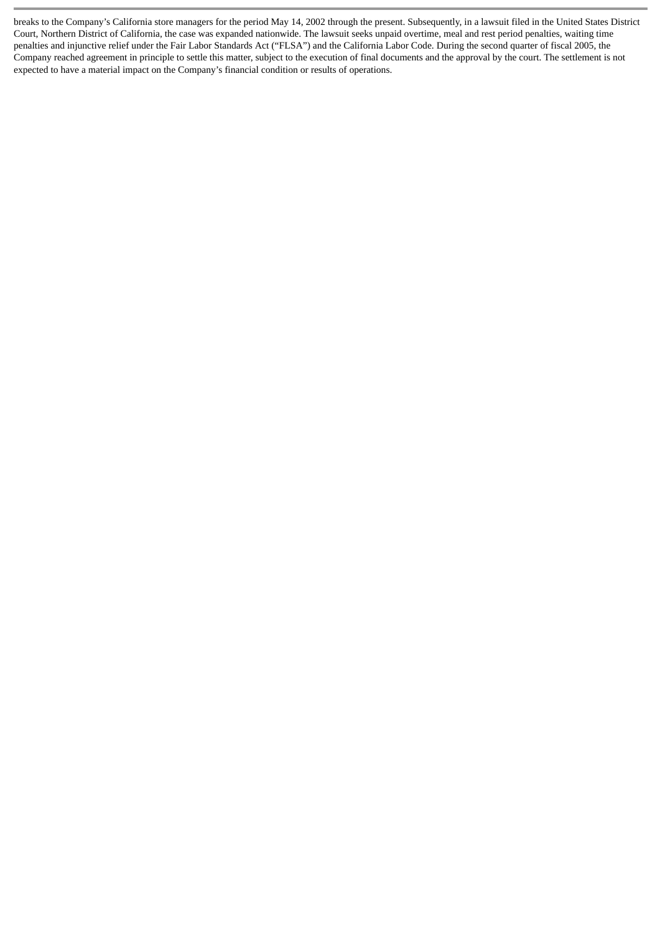breaks to the Company's California store managers for the period May 14, 2002 through the present. Subsequently, in a lawsuit filed in the United States District Court, Northern District of California, the case was expanded nationwide. The lawsuit seeks unpaid overtime, meal and rest period penalties, waiting time penalties and injunctive relief under the Fair Labor Standards Act ("FLSA") and the California Labor Code. During the second quarter of fiscal 2005, the Company reached agreement in principle to settle this matter, subject to the execution of final documents and the approval by the court. The settlement is not expected to have a material impact on the Company's financial condition or results of operations.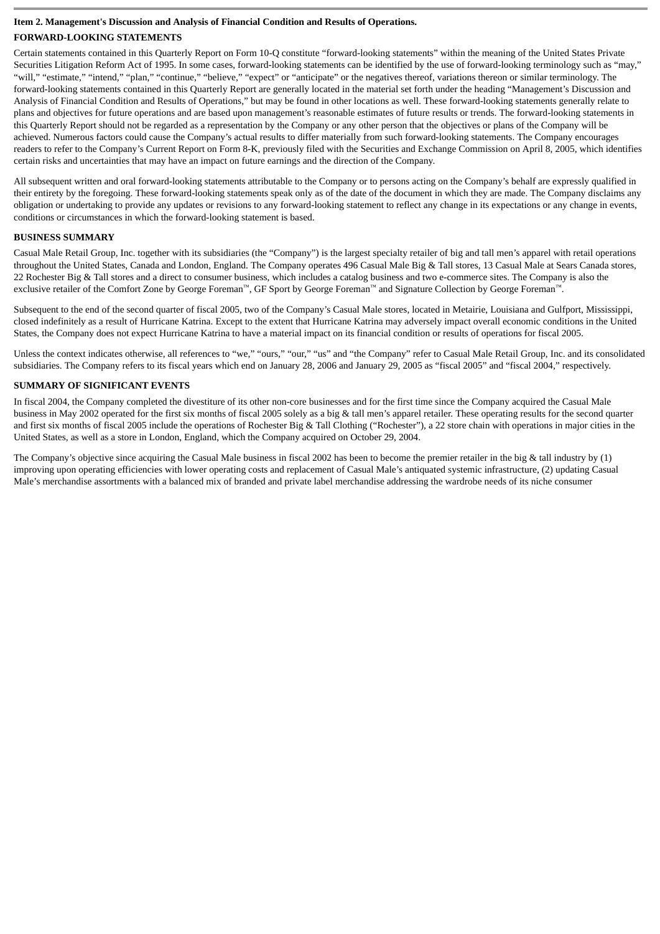# **Item 2. Management's Discussion and Analysis of Financial Condition and Results of Operations. FORWARD-LOOKING STATEMENTS**

Certain statements contained in this Quarterly Report on Form 10-Q constitute "forward-looking statements" within the meaning of the United States Private Securities Litigation Reform Act of 1995. In some cases, forward-looking statements can be identified by the use of forward-looking terminology such as "may," "will," "estimate," "intend," "plan," "continue," "believe," "expect" or "anticipate" or the negatives thereof, variations thereon or similar terminology. The forward-looking statements contained in this Quarterly Report are generally located in the material set forth under the heading "Management's Discussion and Analysis of Financial Condition and Results of Operations," but may be found in other locations as well. These forward-looking statements generally relate to plans and objectives for future operations and are based upon management's reasonable estimates of future results or trends. The forward-looking statements in this Quarterly Report should not be regarded as a representation by the Company or any other person that the objectives or plans of the Company will be achieved. Numerous factors could cause the Company's actual results to differ materially from such forward-looking statements. The Company encourages readers to refer to the Company's Current Report on Form 8-K, previously filed with the Securities and Exchange Commission on April 8, 2005, which identifies certain risks and uncertainties that may have an impact on future earnings and the direction of the Company.

All subsequent written and oral forward-looking statements attributable to the Company or to persons acting on the Company's behalf are expressly qualified in their entirety by the foregoing. These forward-looking statements speak only as of the date of the document in which they are made. The Company disclaims any obligation or undertaking to provide any updates or revisions to any forward-looking statement to reflect any change in its expectations or any change in events, conditions or circumstances in which the forward-looking statement is based.

# **BUSINESS SUMMARY**

Casual Male Retail Group, Inc. together with its subsidiaries (the "Company") is the largest specialty retailer of big and tall men's apparel with retail operations throughout the United States, Canada and London, England. The Company operates 496 Casual Male Big & Tall stores, 13 Casual Male at Sears Canada stores, 22 Rochester Big & Tall stores and a direct to consumer business, which includes a catalog business and two e-commerce sites. The Company is also the exclusive retailer of the Comfort Zone by George Foreman™, GF Sport by George Foreman™ and Signature Collection by George Foreman™.

Subsequent to the end of the second quarter of fiscal 2005, two of the Company's Casual Male stores, located in Metairie, Louisiana and Gulfport, Mississippi, closed indefinitely as a result of Hurricane Katrina. Except to the extent that Hurricane Katrina may adversely impact overall economic conditions in the United States, the Company does not expect Hurricane Katrina to have a material impact on its financial condition or results of operations for fiscal 2005.

Unless the context indicates otherwise, all references to "we," "ours," "our," "us" and "the Company" refer to Casual Male Retail Group, Inc. and its consolidated subsidiaries. The Company refers to its fiscal years which end on January 28, 2006 and January 29, 2005 as "fiscal 2005" and "fiscal 2004," respectively.

#### **SUMMARY OF SIGNIFICANT EVENTS**

In fiscal 2004, the Company completed the divestiture of its other non-core businesses and for the first time since the Company acquired the Casual Male business in May 2002 operated for the first six months of fiscal 2005 solely as a big & tall men's apparel retailer. These operating results for the second quarter and first six months of fiscal 2005 include the operations of Rochester Big & Tall Clothing ("Rochester"), a 22 store chain with operations in major cities in the United States, as well as a store in London, England, which the Company acquired on October 29, 2004.

The Company's objective since acquiring the Casual Male business in fiscal 2002 has been to become the premier retailer in the big & tall industry by (1) improving upon operating efficiencies with lower operating costs and replacement of Casual Male's antiquated systemic infrastructure, (2) updating Casual Male's merchandise assortments with a balanced mix of branded and private label merchandise addressing the wardrobe needs of its niche consumer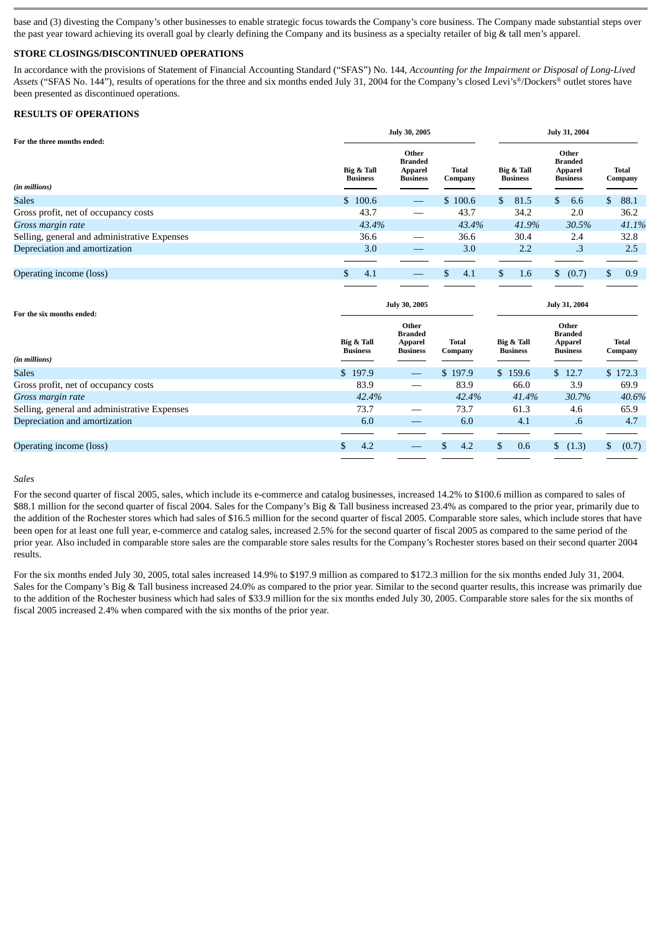base and (3) divesting the Company's other businesses to enable strategic focus towards the Company's core business. The Company made substantial steps over the past year toward achieving its overall goal by clearly defining the Company and its business as a specialty retailer of big & tall men's apparel.

## **STORE CLOSINGS/DISCONTINUED OPERATIONS**

In accordance with the provisions of Statement of Financial Accounting Standard ("SFAS") No. 144, *Accounting for the Impairment or Disposal of Long-Lived Assets* ("SFAS No. 144"), results of operations for the three and six months ended July 31, 2004 for the Company's closed Levi's®/Dockers® outlet stores have been presented as discontinued operations.

#### **RESULTS OF OPERATIONS**

| For the three months ended:                  | <b>July 30, 2005</b>          |                                                              |                         | July 31, 2004                 |                                                              |                         |
|----------------------------------------------|-------------------------------|--------------------------------------------------------------|-------------------------|-------------------------------|--------------------------------------------------------------|-------------------------|
| (in millions)                                | Big & Tall<br><b>Business</b> | Other<br><b>Branded</b><br><b>Apparel</b><br><b>Business</b> | <b>Total</b><br>Company | Big & Tall<br><b>Business</b> | Other<br><b>Branded</b><br><b>Apparel</b><br><b>Business</b> | <b>Total</b><br>Company |
| <b>Sales</b>                                 | \$100.6                       |                                                              | \$100.6                 | \$<br>81.5                    | $\mathbb{S}^-$<br>6.6                                        | $\mathbb{S}^-$<br>88.1  |
| Gross profit, net of occupancy costs         | 43.7                          |                                                              | 43.7                    | 34.2                          | 2.0                                                          | 36.2                    |
| Gross margin rate                            | 43.4%                         |                                                              | 43.4%                   | 41.9%                         | 30.5%                                                        | 41.1%                   |
| Selling, general and administrative Expenses | 36.6                          |                                                              | 36.6                    | 30.4                          | 2.4                                                          | 32.8                    |
| Depreciation and amortization                | 3.0                           |                                                              | 3.0                     | 2.2                           | .3                                                           | 2.5                     |
|                                              |                               |                                                              |                         |                               |                                                              |                         |
| Operating income (loss)                      | $\mathbb{S}$<br>4.1           |                                                              | \$<br>4.1               | \$<br>1.6                     | \$ (0.7)                                                     | 0.9<br>\$               |
|                                              |                               |                                                              |                         |                               |                                                              |                         |
| For the six months ended:                    | Big & Tall                    | July 30, 2005<br>Other<br><b>Branded</b><br><b>Apparel</b>   | <b>Total</b>            | Big & Tall                    | July 31, 2004<br>Other<br><b>Branded</b><br><b>Apparel</b>   | <b>Total</b>            |
| (in millions)                                | <b>Business</b>               | <b>Business</b>                                              | Company                 | <b>Business</b>               | <b>Business</b>                                              | Company                 |
| <b>Sales</b>                                 | \$197.9                       |                                                              | \$197.9                 | \$159.6                       | \$12.7                                                       | \$172.3                 |
| Gross profit, net of occupancy costs         | 83.9                          | $\overline{\phantom{0}}$                                     | 83.9                    | 66.0                          | 3.9                                                          | 69.9                    |
| Gross margin rate                            | 42.4%                         |                                                              | 42.4%                   | 41.4%                         | 30.7%                                                        | 40.6%                   |
| Selling, general and administrative Expenses | 73.7                          | $\overbrace{\phantom{aaaaa}}^{}$                             | 73.7                    | 61.3                          | 4.6                                                          | 65.9                    |
| Depreciation and amortization                | 6.0                           |                                                              | 6.0                     | 4.1                           | .6                                                           | 4.7                     |
|                                              |                               |                                                              |                         |                               |                                                              |                         |

#### *Sales*

For the second quarter of fiscal 2005, sales, which include its e-commerce and catalog businesses, increased 14.2% to \$100.6 million as compared to sales of \$88.1 million for the second quarter of fiscal 2004. Sales for the Company's Big & Tall business increased 23.4% as compared to the prior year, primarily due to the addition of the Rochester stores which had sales of \$16.5 million for the second quarter of fiscal 2005. Comparable store sales, which include stores that have been open for at least one full year, e-commerce and catalog sales, increased 2.5% for the second quarter of fiscal 2005 as compared to the same period of the prior year. Also included in comparable store sales are the comparable store sales results for the Company's Rochester stores based on their second quarter 2004 results.

For the six months ended July 30, 2005, total sales increased 14.9% to \$197.9 million as compared to \$172.3 million for the six months ended July 31, 2004. Sales for the Company's Big & Tall business increased 24.0% as compared to the prior year. Similar to the second quarter results, this increase was primarily due to the addition of the Rochester business which had sales of \$33.9 million for the six months ended July 30, 2005. Comparable store sales for the six months of fiscal 2005 increased 2.4% when compared with the six months of the prior year.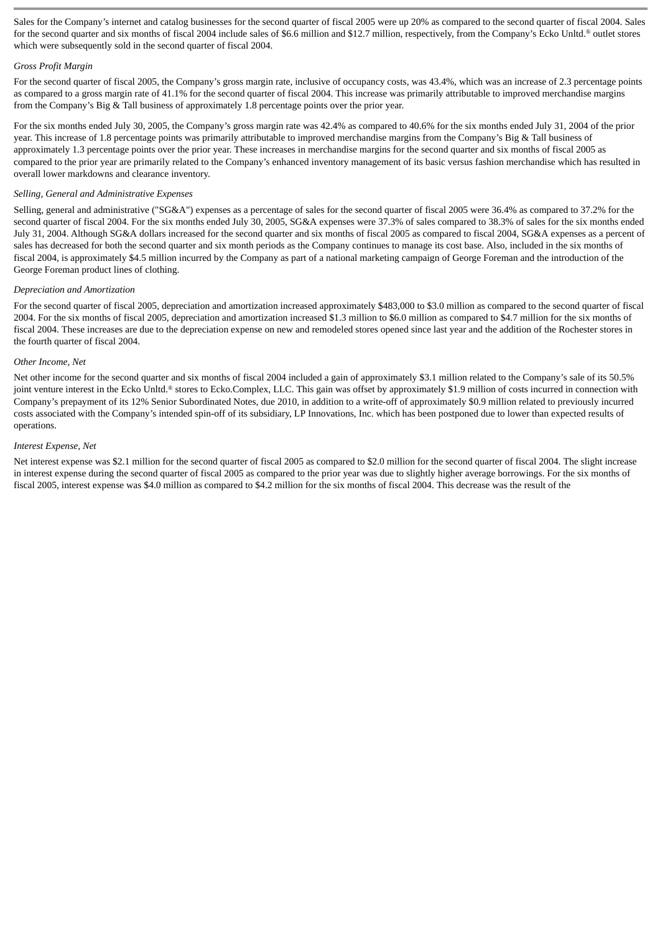Sales for the Company's internet and catalog businesses for the second quarter of fiscal 2005 were up 20% as compared to the second quarter of fiscal 2004. Sales for the second quarter and six months of fiscal 2004 include sales of \$6.6 million and \$12.7 million, respectively, from the Company's Ecko Unltd.<sup>®</sup> outlet stores which were subsequently sold in the second quarter of fiscal 2004.

#### *Gross Profit Margin*

For the second quarter of fiscal 2005, the Company's gross margin rate, inclusive of occupancy costs, was 43.4%, which was an increase of 2.3 percentage points as compared to a gross margin rate of 41.1% for the second quarter of fiscal 2004. This increase was primarily attributable to improved merchandise margins from the Company's Big & Tall business of approximately 1.8 percentage points over the prior year.

For the six months ended July 30, 2005, the Company's gross margin rate was 42.4% as compared to 40.6% for the six months ended July 31, 2004 of the prior year. This increase of 1.8 percentage points was primarily attributable to improved merchandise margins from the Company's Big & Tall business of approximately 1.3 percentage points over the prior year. These increases in merchandise margins for the second quarter and six months of fiscal 2005 as compared to the prior year are primarily related to the Company's enhanced inventory management of its basic versus fashion merchandise which has resulted in overall lower markdowns and clearance inventory.

#### *Selling, General and Administrative Expenses*

Selling, general and administrative ("SG&A") expenses as a percentage of sales for the second quarter of fiscal 2005 were 36.4% as compared to 37.2% for the second quarter of fiscal 2004. For the six months ended July 30, 2005, SG&A expenses were 37.3% of sales compared to 38.3% of sales for the six months ended July 31, 2004. Although SG&A dollars increased for the second quarter and six months of fiscal 2005 as compared to fiscal 2004, SG&A expenses as a percent of sales has decreased for both the second quarter and six month periods as the Company continues to manage its cost base. Also, included in the six months of fiscal 2004, is approximately \$4.5 million incurred by the Company as part of a national marketing campaign of George Foreman and the introduction of the George Foreman product lines of clothing.

#### *Depreciation and Amortization*

For the second quarter of fiscal 2005, depreciation and amortization increased approximately \$483,000 to \$3.0 million as compared to the second quarter of fiscal 2004. For the six months of fiscal 2005, depreciation and amortization increased \$1.3 million to \$6.0 million as compared to \$4.7 million for the six months of fiscal 2004. These increases are due to the depreciation expense on new and remodeled stores opened since last year and the addition of the Rochester stores in the fourth quarter of fiscal 2004.

#### *Other Income, Net*

Net other income for the second quarter and six months of fiscal 2004 included a gain of approximately \$3.1 million related to the Company's sale of its 50.5% joint venture interest in the Ecko Unltd.® stores to Ecko.Complex, LLC. This gain was offset by approximately \$1.9 million of costs incurred in connection with Company's prepayment of its 12% Senior Subordinated Notes, due 2010, in addition to a write-off of approximately \$0.9 million related to previously incurred costs associated with the Company's intended spin-off of its subsidiary, LP Innovations, Inc. which has been postponed due to lower than expected results of operations.

#### *Interest Expense, Net*

Net interest expense was \$2.1 million for the second quarter of fiscal 2005 as compared to \$2.0 million for the second quarter of fiscal 2004. The slight increase in interest expense during the second quarter of fiscal 2005 as compared to the prior year was due to slightly higher average borrowings. For the six months of fiscal 2005, interest expense was \$4.0 million as compared to \$4.2 million for the six months of fiscal 2004. This decrease was the result of the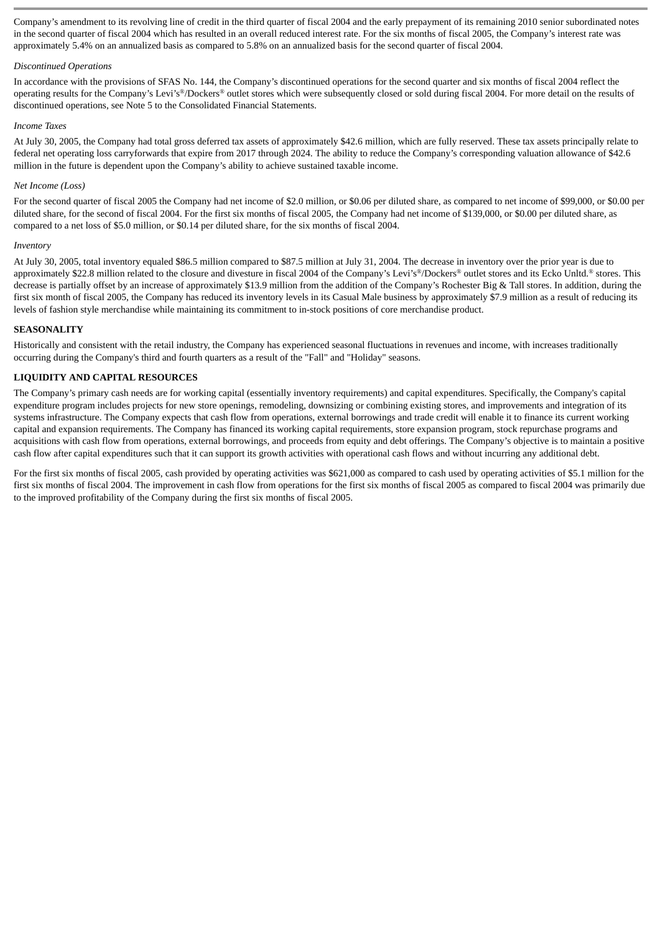Company's amendment to its revolving line of credit in the third quarter of fiscal 2004 and the early prepayment of its remaining 2010 senior subordinated notes in the second quarter of fiscal 2004 which has resulted in an overall reduced interest rate. For the six months of fiscal 2005, the Company's interest rate was approximately 5.4% on an annualized basis as compared to 5.8% on an annualized basis for the second quarter of fiscal 2004.

### *Discontinued Operations*

In accordance with the provisions of SFAS No. 144, the Company's discontinued operations for the second quarter and six months of fiscal 2004 reflect the operating results for the Company's Levi's®/Dockers® outlet stores which were subsequently closed or sold during fiscal 2004. For more detail on the results of discontinued operations, see Note 5 to the Consolidated Financial Statements.

#### *Income Taxes*

At July 30, 2005, the Company had total gross deferred tax assets of approximately \$42.6 million, which are fully reserved. These tax assets principally relate to federal net operating loss carryforwards that expire from 2017 through 2024. The ability to reduce the Company's corresponding valuation allowance of \$42.6 million in the future is dependent upon the Company's ability to achieve sustained taxable income.

#### *Net Income (Loss)*

For the second quarter of fiscal 2005 the Company had net income of \$2.0 million, or \$0.06 per diluted share, as compared to net income of \$99,000, or \$0.00 per diluted share, for the second of fiscal 2004. For the first six months of fiscal 2005, the Company had net income of \$139,000, or \$0.00 per diluted share, as compared to a net loss of \$5.0 million, or \$0.14 per diluted share, for the six months of fiscal 2004.

#### *Inventory*

At July 30, 2005, total inventory equaled \$86.5 million compared to \$87.5 million at July 31, 2004. The decrease in inventory over the prior year is due to approximately \$22.8 million related to the closure and divesture in fiscal 2004 of the Company's Levi's®/Dockers® outlet stores and its Ecko Unltd.® stores. This decrease is partially offset by an increase of approximately \$13.9 million from the addition of the Company's Rochester Big & Tall stores. In addition, during the first six month of fiscal 2005, the Company has reduced its inventory levels in its Casual Male business by approximately \$7.9 million as a result of reducing its levels of fashion style merchandise while maintaining its commitment to in-stock positions of core merchandise product.

#### **SEASONALITY**

Historically and consistent with the retail industry, the Company has experienced seasonal fluctuations in revenues and income, with increases traditionally occurring during the Company's third and fourth quarters as a result of the "Fall" and "Holiday" seasons.

# **LIQUIDITY AND CAPITAL RESOURCES**

The Company's primary cash needs are for working capital (essentially inventory requirements) and capital expenditures. Specifically, the Company's capital expenditure program includes projects for new store openings, remodeling, downsizing or combining existing stores, and improvements and integration of its systems infrastructure. The Company expects that cash flow from operations, external borrowings and trade credit will enable it to finance its current working capital and expansion requirements. The Company has financed its working capital requirements, store expansion program, stock repurchase programs and acquisitions with cash flow from operations, external borrowings, and proceeds from equity and debt offerings. The Company's objective is to maintain a positive cash flow after capital expenditures such that it can support its growth activities with operational cash flows and without incurring any additional debt.

For the first six months of fiscal 2005, cash provided by operating activities was \$621,000 as compared to cash used by operating activities of \$5.1 million for the first six months of fiscal 2004. The improvement in cash flow from operations for the first six months of fiscal 2005 as compared to fiscal 2004 was primarily due to the improved profitability of the Company during the first six months of fiscal 2005.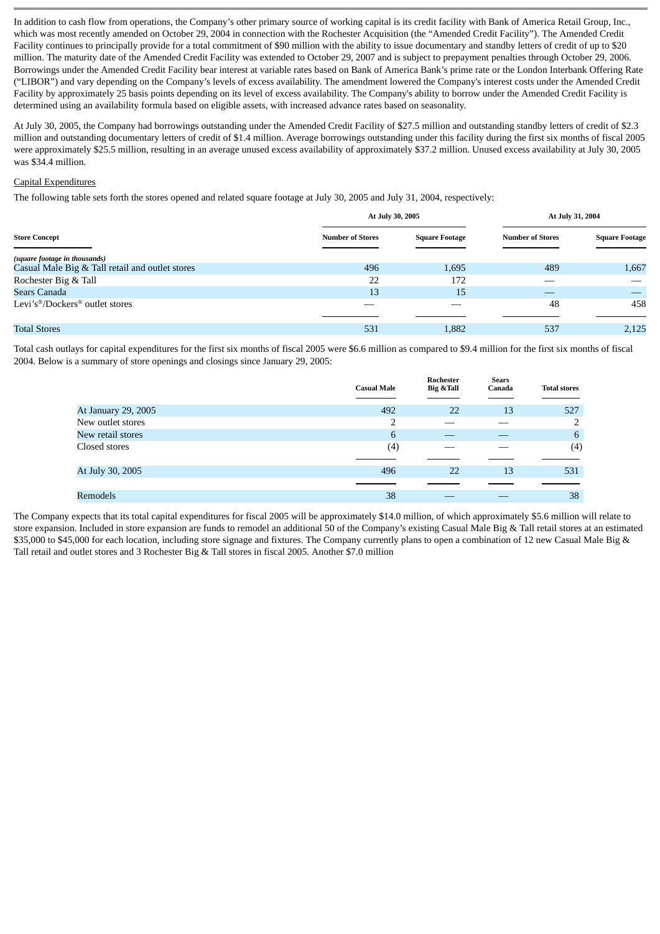In addition to cash flow from operations, the Company's other primary source of working capital is its credit facility with Bank of America Retail Group, Inc., which was most recently amended on October 29, 2004 in connection with the Rochester Acquisition (the "Amended Credit Facility"). The Amended Credit Facility continues to principally provide for a total commitment of \$90 million with the ability to issue documentary and standby letters of credit of up to \$20 million. The maturity date of the Amended Credit Facility was extended to October 29, 2007 and is subject to prepayment penalties through October 29, 2006. Borrowings under the Amended Credit Facility bear interest at variable rates based on Bank of America Bank's prime rate or the London Interbank Offering Rate ("LIBOR") and vary depending on the Company's levels of excess availability. The amendment lowered the Company's interest costs under the Amended Credit Facility by approximately 25 basis points depending on its level of excess availability. The Company's ability to borrow under the Amended Credit Facility is determined using an availability formula based on eligible assets, with increased advance rates based on seasonality.

At July 30, 2005, the Company had borrowings outstanding under the Amended Credit Facility of \$27.5 million and outstanding standby letters of credit of \$2.3 million and outstanding documentary letters of credit of \$1.4 million. Average borrowings outstanding under this facility during the first six months of fiscal 2005 were approximately \$25.5 million, resulting in an average unused excess availability of approximately \$37.2 million. Unused excess availability at July 30, 2005 was \$34.4 million.

#### Capital Expenditures

The following table sets forth the stores opened and related square footage at July 30, 2005 and July 31, 2004, respectively:

|                                                         |                                                  | At July 30, 2005 |                         | At July 31, 2004      |  |  |
|---------------------------------------------------------|--------------------------------------------------|------------------|-------------------------|-----------------------|--|--|
| <b>Store Concept</b>                                    | <b>Number of Stores</b><br><b>Square Footage</b> |                  | <b>Number of Stores</b> | <b>Square Footage</b> |  |  |
| (square footage in thousands)                           |                                                  |                  |                         |                       |  |  |
| Casual Male Big & Tall retail and outlet stores         | 496                                              | 1,695            | 489                     | 1,667                 |  |  |
| Rochester Big & Tall                                    | 22                                               | 172              |                         |                       |  |  |
| Sears Canada                                            | 13                                               | 15               |                         |                       |  |  |
| Levi's <sup>®</sup> /Dockers <sup>®</sup> outlet stores |                                                  |                  | 48                      | 458                   |  |  |
|                                                         |                                                  |                  |                         |                       |  |  |
| <b>Total Stores</b>                                     | 531                                              | 1.882            | 537                     | 2,125                 |  |  |

Total cash outlays for capital expenditures for the first six months of fiscal 2005 were \$6.6 million as compared to \$9.4 million for the first six months of fiscal 2004. Below is a summary of store openings and closings since January 29, 2005:

|                     | <b>Casual Male</b> | Rochester<br>Big & Tall | <b>Sears</b><br>Canada | <b>Total stores</b> |
|---------------------|--------------------|-------------------------|------------------------|---------------------|
|                     |                    |                         |                        |                     |
| At January 29, 2005 | 492                | 22                      | 13                     | 527                 |
| New outlet stores   | $\mathcal{D}$      |                         |                        | 2                   |
| New retail stores   | 6                  |                         |                        | 6                   |
| Closed stores       | $\left( 4\right)$  |                         |                        | (4)                 |
|                     |                    |                         |                        |                     |
| At July 30, 2005    | 496                | 22                      | 13                     | 531                 |
|                     |                    |                         |                        |                     |
| Remodels            | 38                 |                         |                        | 38                  |

The Company expects that its total capital expenditures for fiscal 2005 will be approximately \$14.0 million, of which approximately \$5.6 million will relate to store expansion. Included in store expansion are funds to remodel an additional 50 of the Company's existing Casual Male Big & Tall retail stores at an estimated \$35,000 to \$45,000 for each location, including store signage and fixtures. The Company currently plans to open a combination of 12 new Casual Male Big & Tall retail and outlet stores and 3 Rochester Big & Tall stores in fiscal 2005. Another \$7.0 million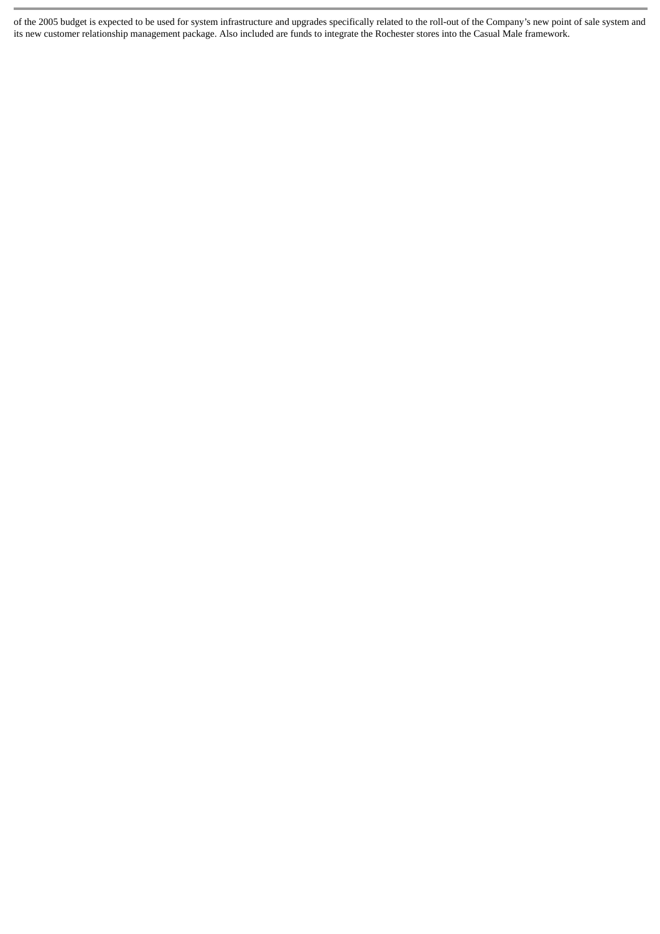of the 2005 budget is expected to be used for system infrastructure and upgrades specifically related to the roll-out of the Company's new point of sale system and its new customer relationship management package. Also included are funds to integrate the Rochester stores into the Casual Male framework.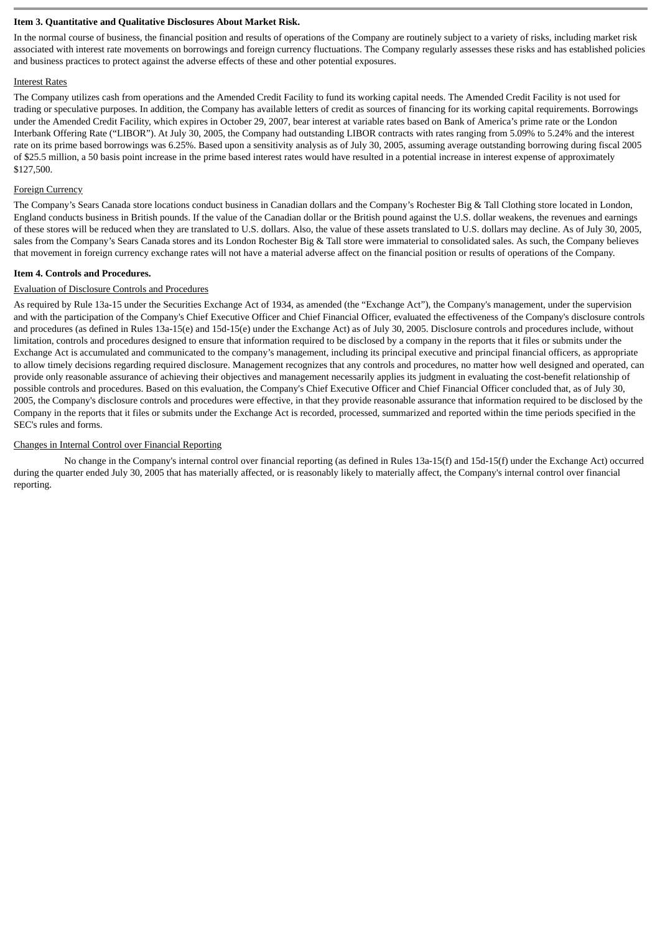#### **Item 3. Quantitative and Qualitative Disclosures About Market Risk.**

In the normal course of business, the financial position and results of operations of the Company are routinely subject to a variety of risks, including market risk associated with interest rate movements on borrowings and foreign currency fluctuations. The Company regularly assesses these risks and has established policies and business practices to protect against the adverse effects of these and other potential exposures.

#### Interest Rates

The Company utilizes cash from operations and the Amended Credit Facility to fund its working capital needs. The Amended Credit Facility is not used for trading or speculative purposes. In addition, the Company has available letters of credit as sources of financing for its working capital requirements. Borrowings under the Amended Credit Facility, which expires in October 29, 2007, bear interest at variable rates based on Bank of America's prime rate or the London Interbank Offering Rate ("LIBOR"). At July 30, 2005, the Company had outstanding LIBOR contracts with rates ranging from 5.09% to 5.24% and the interest rate on its prime based borrowings was 6.25%. Based upon a sensitivity analysis as of July 30, 2005, assuming average outstanding borrowing during fiscal 2005 of \$25.5 million, a 50 basis point increase in the prime based interest rates would have resulted in a potential increase in interest expense of approximately \$127,500.

# Foreign Currency

The Company's Sears Canada store locations conduct business in Canadian dollars and the Company's Rochester Big & Tall Clothing store located in London, England conducts business in British pounds. If the value of the Canadian dollar or the British pound against the U.S. dollar weakens, the revenues and earnings of these stores will be reduced when they are translated to U.S. dollars. Also, the value of these assets translated to U.S. dollars may decline. As of July 30, 2005, sales from the Company's Sears Canada stores and its London Rochester Big & Tall store were immaterial to consolidated sales. As such, the Company believes that movement in foreign currency exchange rates will not have a material adverse affect on the financial position or results of operations of the Company.

# **Item 4. Controls and Procedures.**

# Evaluation of Disclosure Controls and Procedures

As required by Rule 13a-15 under the Securities Exchange Act of 1934, as amended (the "Exchange Act"), the Company's management, under the supervision and with the participation of the Company's Chief Executive Officer and Chief Financial Officer, evaluated the effectiveness of the Company's disclosure controls and procedures (as defined in Rules 13a-15(e) and 15d-15(e) under the Exchange Act) as of July 30, 2005. Disclosure controls and procedures include, without limitation, controls and procedures designed to ensure that information required to be disclosed by a company in the reports that it files or submits under the Exchange Act is accumulated and communicated to the company's management, including its principal executive and principal financial officers, as appropriate to allow timely decisions regarding required disclosure. Management recognizes that any controls and procedures, no matter how well designed and operated, can provide only reasonable assurance of achieving their objectives and management necessarily applies its judgment in evaluating the cost-benefit relationship of possible controls and procedures. Based on this evaluation, the Company's Chief Executive Officer and Chief Financial Officer concluded that, as of July 30, 2005, the Company's disclosure controls and procedures were effective, in that they provide reasonable assurance that information required to be disclosed by the Company in the reports that it files or submits under the Exchange Act is recorded, processed, summarized and reported within the time periods specified in the SEC's rules and forms.

# Changes in Internal Control over Financial Reporting

No change in the Company's internal control over financial reporting (as defined in Rules 13a-15(f) and 15d-15(f) under the Exchange Act) occurred during the quarter ended July 30, 2005 that has materially affected, or is reasonably likely to materially affect, the Company's internal control over financial reporting.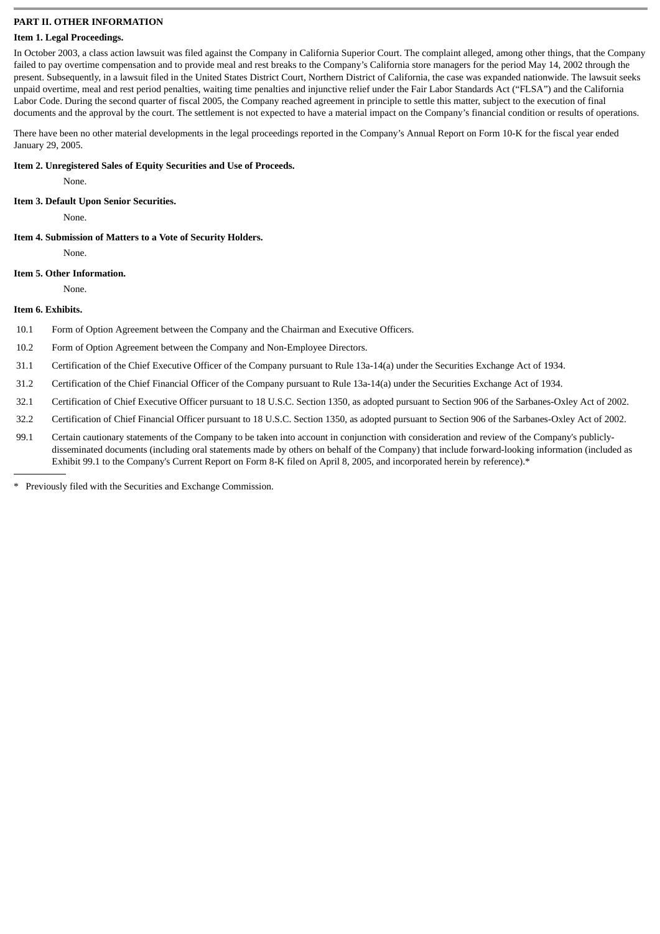#### **PART II. OTHER INFORMATION**

#### **Item 1. Legal Proceedings.**

In October 2003, a class action lawsuit was filed against the Company in California Superior Court. The complaint alleged, among other things, that the Company failed to pay overtime compensation and to provide meal and rest breaks to the Company's California store managers for the period May 14, 2002 through the present. Subsequently, in a lawsuit filed in the United States District Court, Northern District of California, the case was expanded nationwide. The lawsuit seeks unpaid overtime, meal and rest period penalties, waiting time penalties and injunctive relief under the Fair Labor Standards Act ("FLSA") and the California Labor Code. During the second quarter of fiscal 2005, the Company reached agreement in principle to settle this matter, subject to the execution of final documents and the approval by the court. The settlement is not expected to have a material impact on the Company's financial condition or results of operations.

There have been no other material developments in the legal proceedings reported in the Company's Annual Report on Form 10-K for the fiscal year ended January 29, 2005.

#### **Item 2. Unregistered Sales of Equity Securities and Use of Proceeds.**

None.

**Item 3. Default Upon Senior Securities.**

None.

**Item 4. Submission of Matters to a Vote of Security Holders.**

None.

#### **Item 5. Other Information.**

None.

# **Item 6. Exhibits.**

- 10.1 Form of Option Agreement between the Company and the Chairman and Executive Officers.
- 10.2 Form of Option Agreement between the Company and Non-Employee Directors.
- 31.1 Certification of the Chief Executive Officer of the Company pursuant to Rule 13a-14(a) under the Securities Exchange Act of 1934.
- 31.2 Certification of the Chief Financial Officer of the Company pursuant to Rule 13a-14(a) under the Securities Exchange Act of 1934.
- 32.1 Certification of Chief Executive Officer pursuant to 18 U.S.C. Section 1350, as adopted pursuant to Section 906 of the Sarbanes-Oxley Act of 2002.
- 32.2 Certification of Chief Financial Officer pursuant to 18 U.S.C. Section 1350, as adopted pursuant to Section 906 of the Sarbanes-Oxley Act of 2002.
- 99.1 Certain cautionary statements of the Company to be taken into account in conjunction with consideration and review of the Company's publiclydisseminated documents (including oral statements made by others on behalf of the Company) that include forward-looking information (included as Exhibit 99.1 to the Company's Current Report on Form 8-K filed on April 8, 2005, and incorporated herein by reference).\*

<sup>\*</sup> Previously filed with the Securities and Exchange Commission.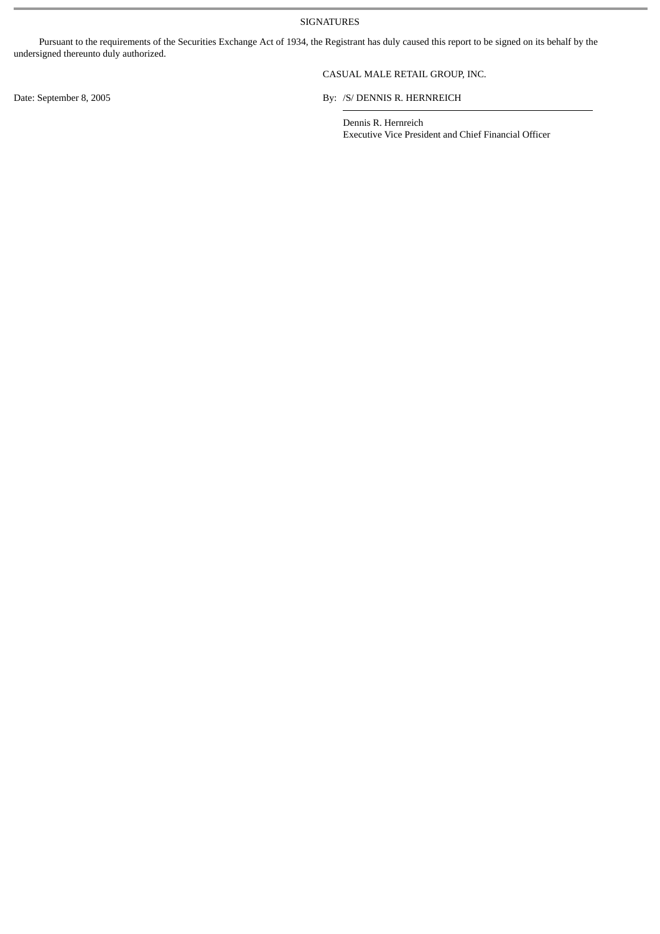SIGNATURES

Pursuant to the requirements of the Securities Exchange Act of 1934, the Registrant has duly caused this report to be signed on its behalf by the undersigned thereunto duly authorized.

CASUAL MALE RETAIL GROUP, INC.

Date: September 8, 2005 By: /S/ DENNIS R. HERNREICH

Dennis R. Hernreich Executive Vice President and Chief Financial Officer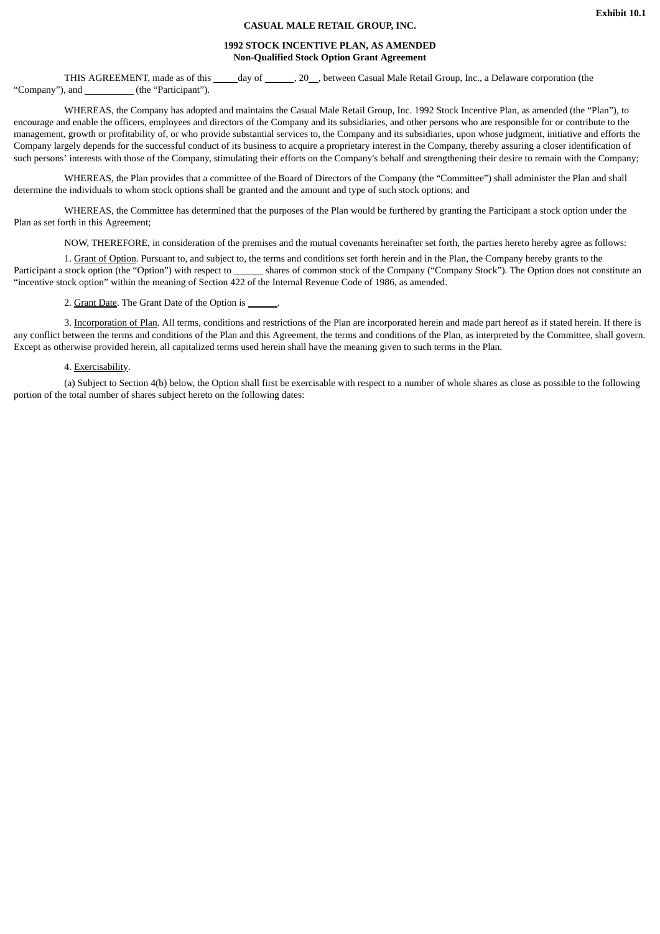#### **CASUAL MALE RETAIL GROUP, INC.**

#### **1992 STOCK INCENTIVE PLAN, AS AMENDED Non-Qualified Stock Option Grant Agreement**

THIS AGREEMENT, made as of this \_\_\_\_\_\_day of \_\_\_\_\_\_\_, 20\_\_, between Casual Male Retail Group, Inc., a Delaware corporation (the "Company"), and \_\_\_\_\_\_\_\_\_\_(the "Participant").

WHEREAS, the Company has adopted and maintains the Casual Male Retail Group, Inc. 1992 Stock Incentive Plan, as amended (the "Plan"), to encourage and enable the officers, employees and directors of the Company and its subsidiaries, and other persons who are responsible for or contribute to the management, growth or profitability of, or who provide substantial services to, the Company and its subsidiaries, upon whose judgment, initiative and efforts the Company largely depends for the successful conduct of its business to acquire a proprietary interest in the Company, thereby assuring a closer identification of such persons' interests with those of the Company, stimulating their efforts on the Company's behalf and strengthening their desire to remain with the Company;

WHEREAS, the Plan provides that a committee of the Board of Directors of the Company (the "Committee") shall administer the Plan and shall determine the individuals to whom stock options shall be granted and the amount and type of such stock options; and

WHEREAS, the Committee has determined that the purposes of the Plan would be furthered by granting the Participant a stock option under the Plan as set forth in this Agreement;

NOW, THEREFORE, in consideration of the premises and the mutual covenants hereinafter set forth, the parties hereto hereby agree as follows:

1. Grant of Option. Pursuant to, and subject to, the terms and conditions set forth herein and in the Plan, the Company hereby grants to the Participant a stock option (the "Option") with respect to shares of common stock of the Company ("Company Stock"). The Option does not constitute an "incentive stock option" within the meaning of Section 422 of the Internal Revenue Code of 1986, as amended.

2. Grant Date. The Grant Date of the Option is .

3. Incorporation of Plan. All terms, conditions and restrictions of the Plan are incorporated herein and made part hereof as if stated herein. If there is any conflict between the terms and conditions of the Plan and this Agreement, the terms and conditions of the Plan, as interpreted by the Committee, shall govern. Except as otherwise provided herein, all capitalized terms used herein shall have the meaning given to such terms in the Plan.

#### 4. Exercisability.

(a) Subject to Section 4(b) below, the Option shall first be exercisable with respect to a number of whole shares as close as possible to the following portion of the total number of shares subject hereto on the following dates: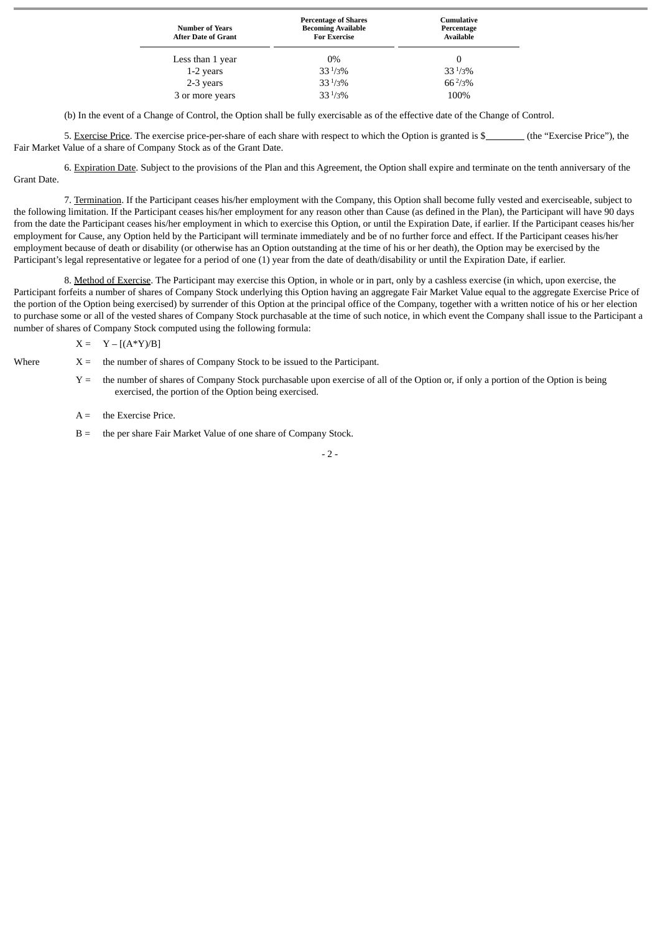| <b>Number of Years</b><br><b>After Date of Grant</b> | <b>Percentage of Shares</b><br><b>Becoming Available</b><br><b>For Exercise</b> | Cumulative<br>Percentage<br><b>Available</b> |  |
|------------------------------------------------------|---------------------------------------------------------------------------------|----------------------------------------------|--|
| Less than 1 year                                     | $0\%$                                                                           |                                              |  |
| 1-2 years                                            | $33^{1/3}\%$                                                                    | $33^{1/3}\%$                                 |  |
| 2-3 years                                            | $33^{1/3}\%$                                                                    | 66 $\frac{2}{3}\%$                           |  |
| 3 or more years                                      | $33^{1/3}\%$                                                                    | 100%                                         |  |

(b) In the event of a Change of Control, the Option shall be fully exercisable as of the effective date of the Change of Control.

5. Exercise Price. The exercise price-per-share of each share with respect to which the Option is granted is \$ (the "Exercise Price"), the Fair Market Value of a share of Company Stock as of the Grant Date.

6. Expiration Date. Subject to the provisions of the Plan and this Agreement, the Option shall expire and terminate on the tenth anniversary of the Grant Date.

7. Termination. If the Participant ceases his/her employment with the Company, this Option shall become fully vested and exerciseable, subject to the following limitation. If the Participant ceases his/her employment for any reason other than Cause (as defined in the Plan), the Participant will have 90 days from the date the Participant ceases his/her employment in which to exercise this Option, or until the Expiration Date, if earlier. If the Participant ceases his/her employment for Cause, any Option held by the Participant will terminate immediately and be of no further force and effect. If the Participant ceases his/her employment because of death or disability (or otherwise has an Option outstanding at the time of his or her death), the Option may be exercised by the Participant's legal representative or legatee for a period of one (1) year from the date of death/disability or until the Expiration Date, if earlier.

8. Method of Exercise. The Participant may exercise this Option, in whole or in part, only by a cashless exercise (in which, upon exercise, the Participant forfeits a number of shares of Company Stock underlying this Option having an aggregate Fair Market Value equal to the aggregate Exercise Price of the portion of the Option being exercised) by surrender of this Option at the principal office of the Company, together with a written notice of his or her election to purchase some or all of the vested shares of Company Stock purchasable at the time of such notice, in which event the Company shall issue to the Participant a number of shares of Company Stock computed using the following formula:

 $X = Y - [(A^*Y)/B]$ 

Where  $X =$  the number of shares of Company Stock to be issued to the Participant.

 $Y =$ the number of shares of Company Stock purchasable upon exercise of all of the Option or, if only a portion of the Option is being exercised, the portion of the Option being exercised.

 $A =$  the Exercise Price.

 $B =$  the per share Fair Market Value of one share of Company Stock.

 $-2-$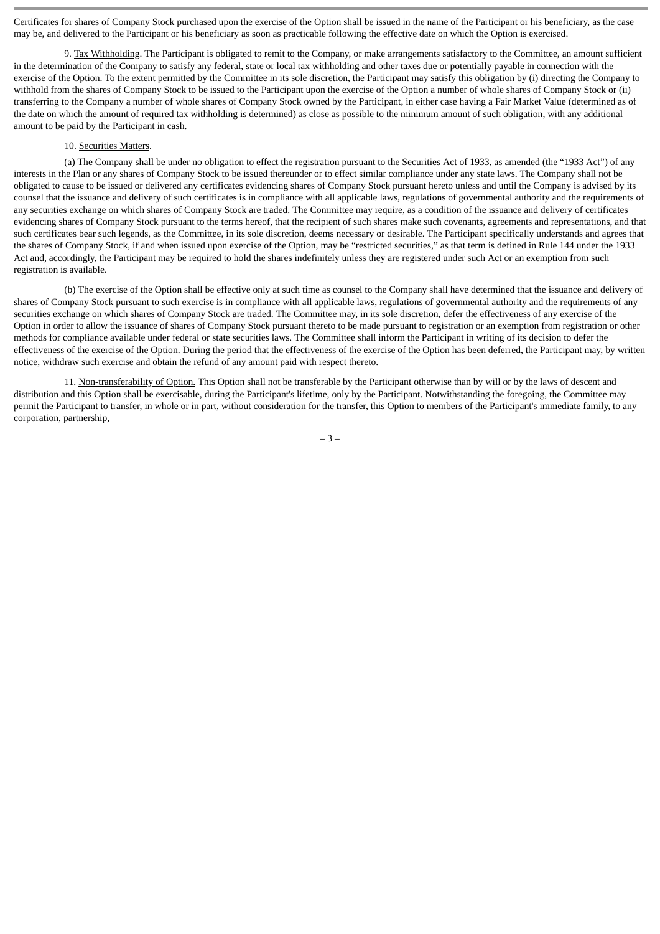Certificates for shares of Company Stock purchased upon the exercise of the Option shall be issued in the name of the Participant or his beneficiary, as the case may be, and delivered to the Participant or his beneficiary as soon as practicable following the effective date on which the Option is exercised.

9. Tax Withholding. The Participant is obligated to remit to the Company, or make arrangements satisfactory to the Committee, an amount sufficient in the determination of the Company to satisfy any federal, state or local tax withholding and other taxes due or potentially payable in connection with the exercise of the Option. To the extent permitted by the Committee in its sole discretion, the Participant may satisfy this obligation by (i) directing the Company to withhold from the shares of Company Stock to be issued to the Participant upon the exercise of the Option a number of whole shares of Company Stock or (ii) transferring to the Company a number of whole shares of Company Stock owned by the Participant, in either case having a Fair Market Value (determined as of the date on which the amount of required tax withholding is determined) as close as possible to the minimum amount of such obligation, with any additional amount to be paid by the Participant in cash.

#### 10. Securities Matters.

(a) The Company shall be under no obligation to effect the registration pursuant to the Securities Act of 1933, as amended (the "1933 Act") of any interests in the Plan or any shares of Company Stock to be issued thereunder or to effect similar compliance under any state laws. The Company shall not be obligated to cause to be issued or delivered any certificates evidencing shares of Company Stock pursuant hereto unless and until the Company is advised by its counsel that the issuance and delivery of such certificates is in compliance with all applicable laws, regulations of governmental authority and the requirements of any securities exchange on which shares of Company Stock are traded. The Committee may require, as a condition of the issuance and delivery of certificates evidencing shares of Company Stock pursuant to the terms hereof, that the recipient of such shares make such covenants, agreements and representations, and that such certificates bear such legends, as the Committee, in its sole discretion, deems necessary or desirable. The Participant specifically understands and agrees that the shares of Company Stock, if and when issued upon exercise of the Option, may be "restricted securities," as that term is defined in Rule 144 under the 1933 Act and, accordingly, the Participant may be required to hold the shares indefinitely unless they are registered under such Act or an exemption from such registration is available.

(b) The exercise of the Option shall be effective only at such time as counsel to the Company shall have determined that the issuance and delivery of shares of Company Stock pursuant to such exercise is in compliance with all applicable laws, regulations of governmental authority and the requirements of any securities exchange on which shares of Company Stock are traded. The Committee may, in its sole discretion, defer the effectiveness of any exercise of the Option in order to allow the issuance of shares of Company Stock pursuant thereto to be made pursuant to registration or an exemption from registration or other methods for compliance available under federal or state securities laws. The Committee shall inform the Participant in writing of its decision to defer the effectiveness of the exercise of the Option. During the period that the effectiveness of the exercise of the Option has been deferred, the Participant may, by written notice, withdraw such exercise and obtain the refund of any amount paid with respect thereto.

11. Non-transferability of Option. This Option shall not be transferable by the Participant otherwise than by will or by the laws of descent and distribution and this Option shall be exercisable, during the Participant's lifetime, only by the Participant. Notwithstanding the foregoing, the Committee may permit the Participant to transfer, in whole or in part, without consideration for the transfer, this Option to members of the Participant's immediate family, to any corporation, partnership,

– 3 –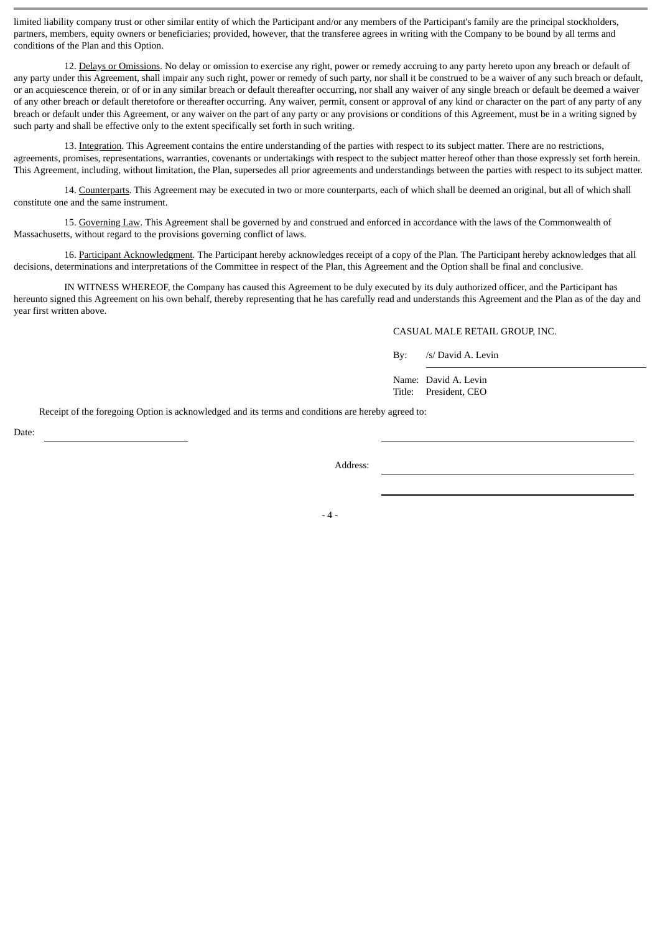limited liability company trust or other similar entity of which the Participant and/or any members of the Participant's family are the principal stockholders, partners, members, equity owners or beneficiaries; provided, however, that the transferee agrees in writing with the Company to be bound by all terms and conditions of the Plan and this Option.

12. Delays or Omissions. No delay or omission to exercise any right, power or remedy accruing to any party hereto upon any breach or default of any party under this Agreement, shall impair any such right, power or remedy of such party, nor shall it be construed to be a waiver of any such breach or default, or an acquiescence therein, or of or in any similar breach or default thereafter occurring, nor shall any waiver of any single breach or default be deemed a waiver of any other breach or default theretofore or thereafter occurring. Any waiver, permit, consent or approval of any kind or character on the part of any party of any breach or default under this Agreement, or any waiver on the part of any party or any provisions or conditions of this Agreement, must be in a writing signed by such party and shall be effective only to the extent specifically set forth in such writing.

13. Integration. This Agreement contains the entire understanding of the parties with respect to its subject matter. There are no restrictions, agreements, promises, representations, warranties, covenants or undertakings with respect to the subject matter hereof other than those expressly set forth herein. This Agreement, including, without limitation, the Plan, supersedes all prior agreements and understandings between the parties with respect to its subject matter.

14. Counterparts. This Agreement may be executed in two or more counterparts, each of which shall be deemed an original, but all of which shall constitute one and the same instrument.

15. Governing Law. This Agreement shall be governed by and construed and enforced in accordance with the laws of the Commonwealth of Massachusetts, without regard to the provisions governing conflict of laws.

16. Participant Acknowledgment. The Participant hereby acknowledges receipt of a copy of the Plan. The Participant hereby acknowledges that all decisions, determinations and interpretations of the Committee in respect of the Plan, this Agreement and the Option shall be final and conclusive.

IN WITNESS WHEREOF, the Company has caused this Agreement to be duly executed by its duly authorized officer, and the Participant has hereunto signed this Agreement on his own behalf, thereby representing that he has carefully read and understands this Agreement and the Plan as of the day and year first written above.

CASUAL MALE RETAIL GROUP, INC.

By: /s/ David A. Levin

Name: David A. Levin Title: President, CEO

Receipt of the foregoing Option is acknowledged and its terms and conditions are hereby agreed to:

Date:

Address:

- 4 -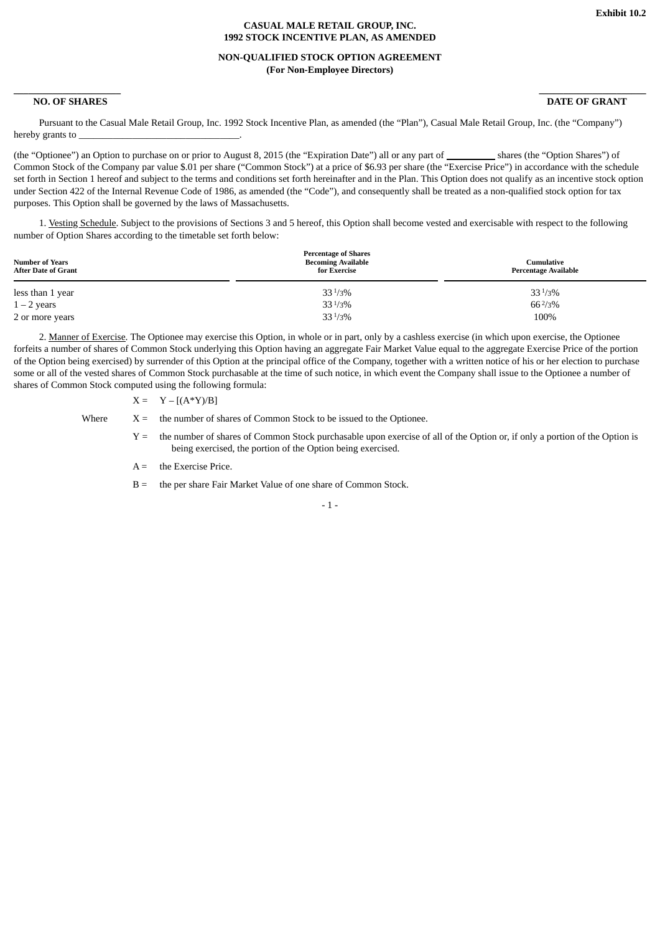**\_\_\_\_\_\_\_\_\_\_\_\_\_\_\_\_\_\_\_\_\_\_ DATE OF GRANT** 

#### **CASUAL MALE RETAIL GROUP, INC. 1992 STOCK INCENTIVE PLAN, AS AMENDED**

# **NON-QUALIFIED STOCK OPTION AGREEMENT (For Non-Employee Directors)**

#### **\_\_\_\_\_\_\_\_\_\_\_\_\_\_\_\_\_\_\_\_\_\_ NO. OF SHARES**

Pursuant to the Casual Male Retail Group, Inc. 1992 Stock Incentive Plan, as amended (the "Plan"), Casual Male Retail Group, Inc. (the "Company") hereby grants to

(the "Optionee") an Option to purchase on or prior to August 8, 2015 (the "Expiration Date") all or any part of shares (the "Option Shares") of Common Stock of the Company par value \$.01 per share ("Common Stock") at a price of \$6.93 per share (the "Exercise Price") in accordance with the schedule set forth in Section 1 hereof and subject to the terms and conditions set forth hereinafter and in the Plan. This Option does not qualify as an incentive stock option under Section 422 of the Internal Revenue Code of 1986, as amended (the "Code"), and consequently shall be treated as a non-qualified stock option for tax purposes. This Option shall be governed by the laws of Massachusetts.

1. Vesting Schedule. Subject to the provisions of Sections 3 and 5 hereof, this Option shall become vested and exercisable with respect to the following number of Option Shares according to the timetable set forth below:

| Number of Years<br><b>After Date of Grant</b> | <b>Percentage of Shares</b><br><b>Becoming Available</b><br>for Exercise | Cumulative<br><b>Percentage Available</b> |  |
|-----------------------------------------------|--------------------------------------------------------------------------|-------------------------------------------|--|
| less than 1 year                              | $33^{1/3}\%$                                                             | $33^{1/3}\%$                              |  |
| $1 - 2$ years                                 | $33^{1/3}\%$                                                             | 66 $\frac{2}{3}\%$                        |  |
| 2 or more years                               | $33^{1/3}\%$                                                             | 100%                                      |  |

2. Manner of Exercise. The Optionee may exercise this Option, in whole or in part, only by a cashless exercise (in which upon exercise, the Optionee forfeits a number of shares of Common Stock underlying this Option having an aggregate Fair Market Value equal to the aggregate Exercise Price of the portion of the Option being exercised) by surrender of this Option at the principal office of the Company, together with a written notice of his or her election to purchase some or all of the vested shares of Common Stock purchasable at the time of such notice, in which event the Company shall issue to the Optionee a number of shares of Common Stock computed using the following formula:

# $X = Y - [(A^*Y)/B]$

- Where  $X =$  the number of shares of Common Stock to be issued to the Optionee.
	- $Y =$ the number of shares of Common Stock purchasable upon exercise of all of the Option or, if only a portion of the Option is being exercised, the portion of the Option being exercised.
	- $A =$  the Exercise Price.
	- B = the per share Fair Market Value of one share of Common Stock.

- 1 -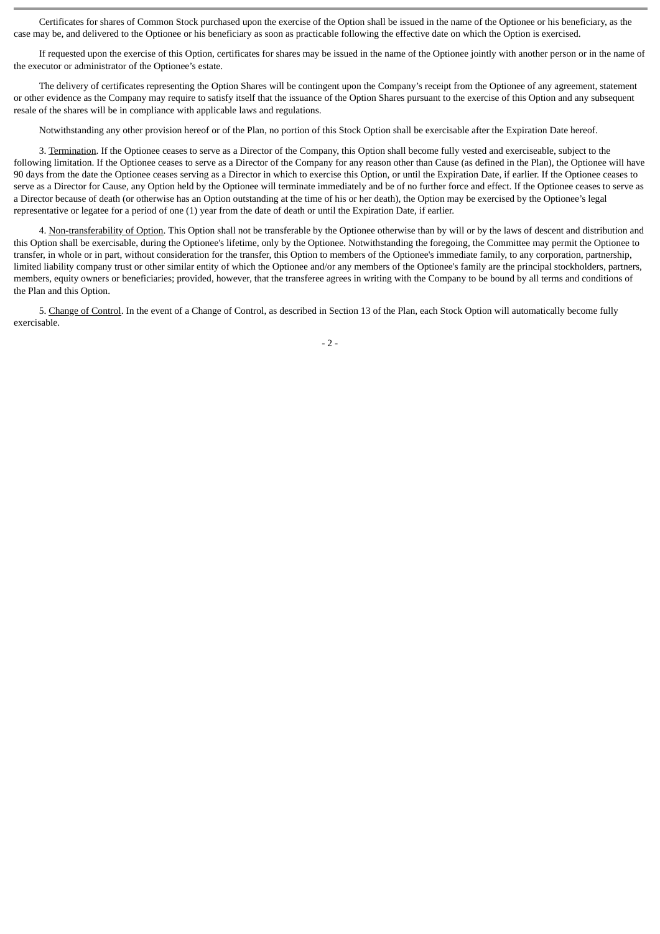Certificates for shares of Common Stock purchased upon the exercise of the Option shall be issued in the name of the Optionee or his beneficiary, as the case may be, and delivered to the Optionee or his beneficiary as soon as practicable following the effective date on which the Option is exercised.

If requested upon the exercise of this Option, certificates for shares may be issued in the name of the Optionee jointly with another person or in the name of the executor or administrator of the Optionee's estate.

The delivery of certificates representing the Option Shares will be contingent upon the Company's receipt from the Optionee of any agreement, statement or other evidence as the Company may require to satisfy itself that the issuance of the Option Shares pursuant to the exercise of this Option and any subsequent resale of the shares will be in compliance with applicable laws and regulations.

Notwithstanding any other provision hereof or of the Plan, no portion of this Stock Option shall be exercisable after the Expiration Date hereof.

3. Termination. If the Optionee ceases to serve as a Director of the Company, this Option shall become fully vested and exerciseable, subject to the following limitation. If the Optionee ceases to serve as a Director of the Company for any reason other than Cause (as defined in the Plan), the Optionee will have 90 days from the date the Optionee ceases serving as a Director in which to exercise this Option, or until the Expiration Date, if earlier. If the Optionee ceases to serve as a Director for Cause, any Option held by the Optionee will terminate immediately and be of no further force and effect. If the Optionee ceases to serve as a Director because of death (or otherwise has an Option outstanding at the time of his or her death), the Option may be exercised by the Optionee's legal representative or legatee for a period of one (1) year from the date of death or until the Expiration Date, if earlier.

4. Non-transferability of Option. This Option shall not be transferable by the Optionee otherwise than by will or by the laws of descent and distribution and this Option shall be exercisable, during the Optionee's lifetime, only by the Optionee. Notwithstanding the foregoing, the Committee may permit the Optionee to transfer, in whole or in part, without consideration for the transfer, this Option to members of the Optionee's immediate family, to any corporation, partnership, limited liability company trust or other similar entity of which the Optionee and/or any members of the Optionee's family are the principal stockholders, partners, members, equity owners or beneficiaries; provided, however, that the transferee agrees in writing with the Company to be bound by all terms and conditions of the Plan and this Option.

5. Change of Control. In the event of a Change of Control, as described in Section 13 of the Plan, each Stock Option will automatically become fully exercisable.

 $-2-$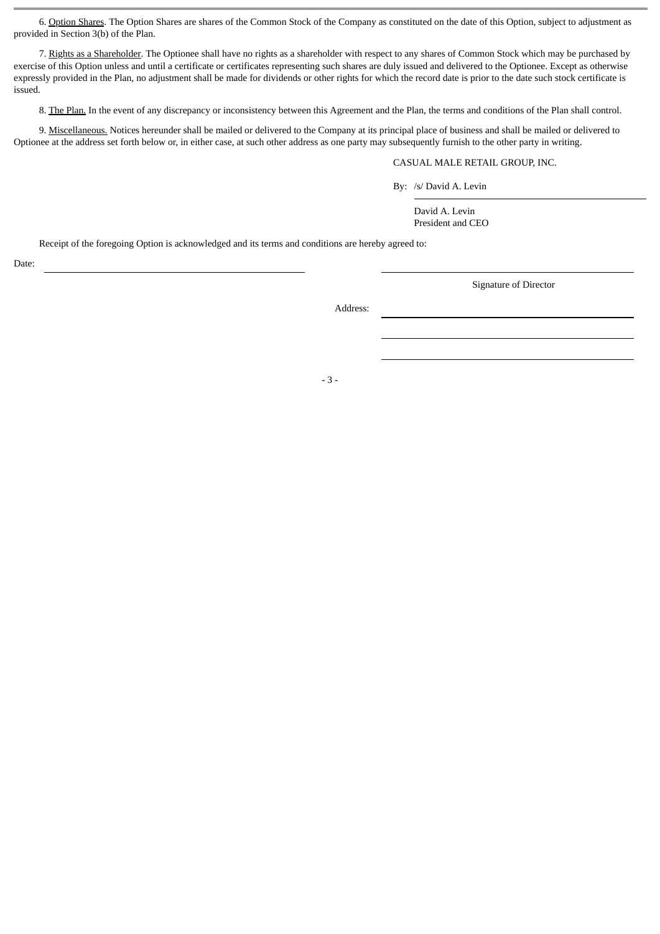6. Option Shares. The Option Shares are shares of the Common Stock of the Company as constituted on the date of this Option, subject to adjustment as provided in Section 3(b) of the Plan.

7. Rights as a Shareholder. The Optionee shall have no rights as a shareholder with respect to any shares of Common Stock which may be purchased by exercise of this Option unless and until a certificate or certificates representing such shares are duly issued and delivered to the Optionee. Except as otherwise expressly provided in the Plan, no adjustment shall be made for dividends or other rights for which the record date is prior to the date such stock certificate is issued.

8. The Plan, In the event of any discrepancy or inconsistency between this Agreement and the Plan, the terms and conditions of the Plan shall control.

9. Miscellaneous. Notices hereunder shall be mailed or delivered to the Company at its principal place of business and shall be mailed or delivered to Optionee at the address set forth below or, in either case, at such other address as one party may subsequently furnish to the other party in writing.

CASUAL MALE RETAIL GROUP, INC.

By: /s/ David A. Levin

David A. Levin President and CEO

Receipt of the foregoing Option is acknowledged and its terms and conditions are hereby agreed to:

Date:

Signature of Director

Address:

- 3 -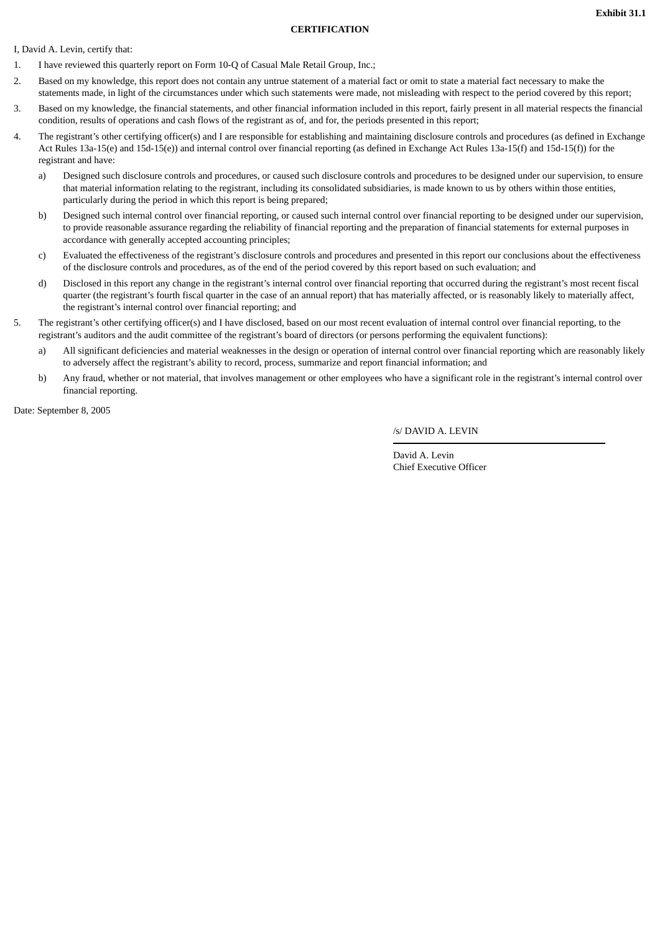#### **CERTIFICATION**

I, David A. Levin, certify that:

- 1. I have reviewed this quarterly report on Form 10-Q of Casual Male Retail Group, Inc.;
- 2. Based on my knowledge, this report does not contain any untrue statement of a material fact or omit to state a material fact necessary to make the statements made, in light of the circumstances under which such statements were made, not misleading with respect to the period covered by this report;
- 3. Based on my knowledge, the financial statements, and other financial information included in this report, fairly present in all material respects the financial condition, results of operations and cash flows of the registrant as of, and for, the periods presented in this report;
- 4. The registrant's other certifying officer(s) and I are responsible for establishing and maintaining disclosure controls and procedures (as defined in Exchange Act Rules 13a-15(e) and 15d-15(e)) and internal control over financial reporting (as defined in Exchange Act Rules 13a-15(f) and 15d-15(f)) for the registrant and have:
	- a) Designed such disclosure controls and procedures, or caused such disclosure controls and procedures to be designed under our supervision, to ensure that material information relating to the registrant, including its consolidated subsidiaries, is made known to us by others within those entities, particularly during the period in which this report is being prepared;
	- b) Designed such internal control over financial reporting, or caused such internal control over financial reporting to be designed under our supervision, to provide reasonable assurance regarding the reliability of financial reporting and the preparation of financial statements for external purposes in accordance with generally accepted accounting principles;
	- c) Evaluated the effectiveness of the registrant's disclosure controls and procedures and presented in this report our conclusions about the effectiveness of the disclosure controls and procedures, as of the end of the period covered by this report based on such evaluation; and
	- d) Disclosed in this report any change in the registrant's internal control over financial reporting that occurred during the registrant's most recent fiscal quarter (the registrant's fourth fiscal quarter in the case of an annual report) that has materially affected, or is reasonably likely to materially affect, the registrant's internal control over financial reporting; and
- 5. The registrant's other certifying officer(s) and I have disclosed, based on our most recent evaluation of internal control over financial reporting, to the registrant's auditors and the audit committee of the registrant's board of directors (or persons performing the equivalent functions):
	- a) All significant deficiencies and material weaknesses in the design or operation of internal control over financial reporting which are reasonably likely to adversely affect the registrant's ability to record, process, summarize and report financial information; and
	- b) Any fraud, whether or not material, that involves management or other employees who have a significant role in the registrant's internal control over financial reporting.

Date: September 8, 2005

/s/ DAVID A. LEVIN

David A. Levin Chief Executive Officer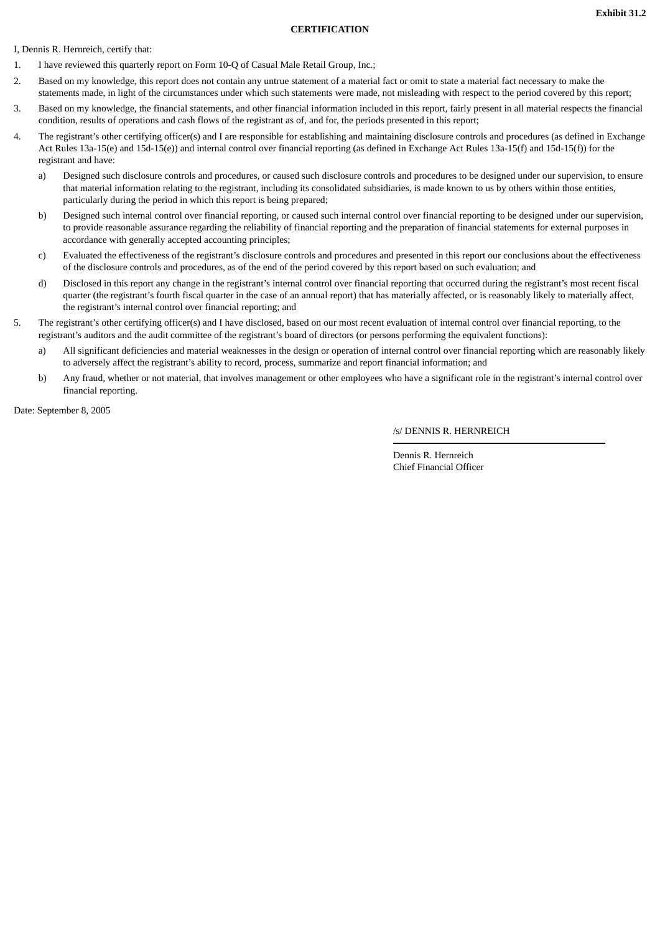#### **CERTIFICATION**

I, Dennis R. Hernreich, certify that:

- 1. I have reviewed this quarterly report on Form 10-Q of Casual Male Retail Group, Inc.;
- 2. Based on my knowledge, this report does not contain any untrue statement of a material fact or omit to state a material fact necessary to make the statements made, in light of the circumstances under which such statements were made, not misleading with respect to the period covered by this report;
- 3. Based on my knowledge, the financial statements, and other financial information included in this report, fairly present in all material respects the financial condition, results of operations and cash flows of the registrant as of, and for, the periods presented in this report;
- 4. The registrant's other certifying officer(s) and I are responsible for establishing and maintaining disclosure controls and procedures (as defined in Exchange Act Rules 13a-15(e) and 15d-15(e)) and internal control over financial reporting (as defined in Exchange Act Rules 13a-15(f) and 15d-15(f)) for the registrant and have:
	- a) Designed such disclosure controls and procedures, or caused such disclosure controls and procedures to be designed under our supervision, to ensure that material information relating to the registrant, including its consolidated subsidiaries, is made known to us by others within those entities, particularly during the period in which this report is being prepared;
	- b) Designed such internal control over financial reporting, or caused such internal control over financial reporting to be designed under our supervision, to provide reasonable assurance regarding the reliability of financial reporting and the preparation of financial statements for external purposes in accordance with generally accepted accounting principles;
	- c) Evaluated the effectiveness of the registrant's disclosure controls and procedures and presented in this report our conclusions about the effectiveness of the disclosure controls and procedures, as of the end of the period covered by this report based on such evaluation; and
	- d) Disclosed in this report any change in the registrant's internal control over financial reporting that occurred during the registrant's most recent fiscal quarter (the registrant's fourth fiscal quarter in the case of an annual report) that has materially affected, or is reasonably likely to materially affect, the registrant's internal control over financial reporting; and
- 5. The registrant's other certifying officer(s) and I have disclosed, based on our most recent evaluation of internal control over financial reporting, to the registrant's auditors and the audit committee of the registrant's board of directors (or persons performing the equivalent functions):
	- a) All significant deficiencies and material weaknesses in the design or operation of internal control over financial reporting which are reasonably likely to adversely affect the registrant's ability to record, process, summarize and report financial information; and
	- b) Any fraud, whether or not material, that involves management or other employees who have a significant role in the registrant's internal control over financial reporting.

Date: September 8, 2005

/s/ DENNIS R. HERNREICH

Dennis R. Hernreich Chief Financial Officer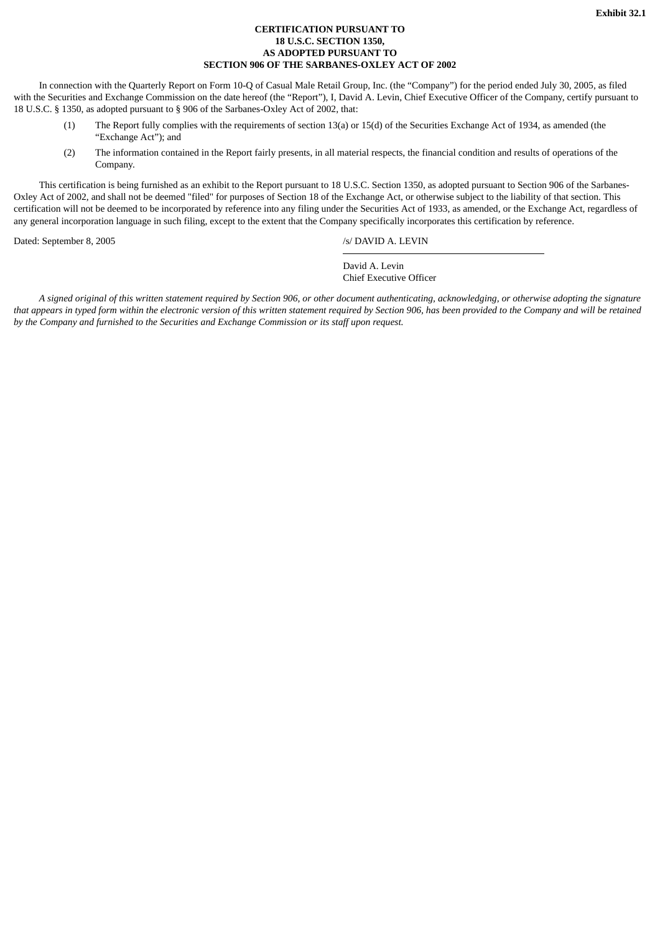#### **CERTIFICATION PURSUANT TO 18 U.S.C. SECTION 1350, AS ADOPTED PURSUANT TO SECTION 906 OF THE SARBANES-OXLEY ACT OF 2002**

In connection with the Quarterly Report on Form 10-Q of Casual Male Retail Group, Inc. (the "Company") for the period ended July 30, 2005, as filed with the Securities and Exchange Commission on the date hereof (the "Report"), I, David A. Levin, Chief Executive Officer of the Company, certify pursuant to 18 U.S.C. § 1350, as adopted pursuant to § 906 of the Sarbanes-Oxley Act of 2002, that:

- (1) The Report fully complies with the requirements of section 13(a) or 15(d) of the Securities Exchange Act of 1934, as amended (the "Exchange Act"); and
- (2) The information contained in the Report fairly presents, in all material respects, the financial condition and results of operations of the Company.

This certification is being furnished as an exhibit to the Report pursuant to 18 U.S.C. Section 1350, as adopted pursuant to Section 906 of the Sarbanes-Oxley Act of 2002, and shall not be deemed "filed" for purposes of Section 18 of the Exchange Act, or otherwise subject to the liability of that section. This certification will not be deemed to be incorporated by reference into any filing under the Securities Act of 1933, as amended, or the Exchange Act, regardless of any general incorporation language in such filing, except to the extent that the Company specifically incorporates this certification by reference.

Dated: September 8, 2005

#### /s/ DAVID A. LEVIN

 David A. Levin Chief Executive Officer

*A signed original of this written statement required by Section 906, or other document authenticating, acknowledging, or otherwise adopting the signature that appears in typed form within the electronic version of this written statement required by Section 906, has been provided to the Company and will be retained by the Company and furnished to the Securities and Exchange Commission or its staff upon request.*